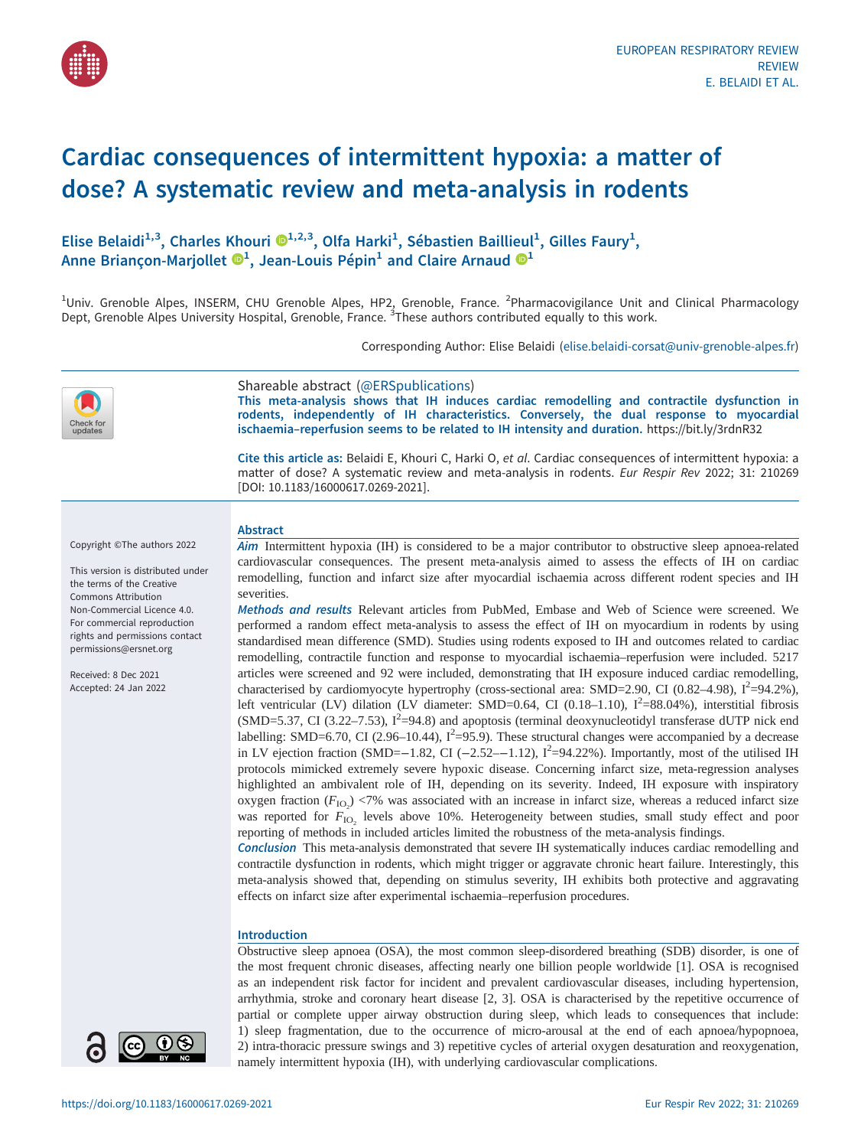

# Cardiac consequences of intermittent hypoxia: a matter of dose? A systematic review and meta-analysis in rodents

Elise Belaidi<sup>1,3</sup>, Charles Khouri  $\mathbf{Q}^{1,2,3}$ , Olfa Harki<sup>1</sup>, Sébastien Baillieul<sup>1</sup>, Gilles Faury<sup>1</sup>, Anne Briançon-Marjollet  $\mathbf{\Theta}^1$  $\mathbf{\Theta}^1$ , Jean-Louis Pépin $^1$  and Claire Arnaud  $\mathbf{\Theta}^1$ 

<sup>1</sup>Univ. Grenoble Alpes, INSERM, CHU Grenoble Alpes, HP2, Grenoble, France. <sup>2</sup>Pharmacovigilance Unit and Clinical Pharmacology Dept, Grenoble Alpes University Hospital, Grenoble, France. <sup>3</sup>These authors contributed equally to this work.

Corresponding Author: Elise Belaidi ([elise.belaidi-corsat@univ-grenoble-alpes.fr](mailto:elise.belaidi-corsat@univ-grenoble-alpes.fr))



Shareable abstract (@ERSpublications) This meta-analysis shows that IH induces cardiac remodelling and contractile dysfunction in rodents, independently of IH characteristics. Conversely, the dual response to myocardial ischaemia–reperfusion seems to be related to IH intensity and duration. <https://bit.ly/3rdnR32>

Cite this article as: Belaidi E, Khouri C, Harki O, et al. Cardiac consequences of intermittent hypoxia: a matter of dose? A systematic review and meta-analysis in rodents. Eur Respir Rev 2022; 31: 210269 [\[DOI: 10.1183/16000617.0269-2021\].](https://doi.org/10.1183/16000617.0269-2021)

Copyright ©The authors 2022

This version is distributed under the terms of the Creative Commons Attribution Non-Commercial Licence 4.0. For commercial reproduction rights and permissions contact [permissions@ersnet.org](mailto:permissions@ersnet.org)

Received: 8 Dec 2021 Accepted: 24 Jan 2022



Abstract

Aim Intermittent hypoxia (IH) is considered to be a major contributor to obstructive sleep apnoea-related cardiovascular consequences. The present meta-analysis aimed to assess the effects of IH on cardiac remodelling, function and infarct size after myocardial ischaemia across different rodent species and IH severities.

Methods and results Relevant articles from PubMed, Embase and Web of Science were screened. We performed a random effect meta-analysis to assess the effect of IH on myocardium in rodents by using standardised mean difference (SMD). Studies using rodents exposed to IH and outcomes related to cardiac remodelling, contractile function and response to myocardial ischaemia–reperfusion were included. 5217 articles were screened and 92 were included, demonstrating that IH exposure induced cardiac remodelling, characterised by cardiomyocyte hypertrophy (cross-sectional area: SMD=2.90, CI (0.82–4.98),  $I^2$ =94.2%), left ventricular (LV) dilation (LV diameter: SMD=0.64, CI (0.18-1.10),  $I^2$ =88.04%), interstitial fibrosis  $(SMD=5.37, CI (3.22-7.53), I<sup>2</sup>=94.8)$  and apoptosis (terminal deoxynucleotidyl transferase dUTP nick end labelling: SMD=6.70, CI (2.96–10.44),  $I^2$ =95.9). These structural changes were accompanied by a decrease in LV ejection fraction (SMD=−1.82, CI (−2.52-−1.12), I<sup>2</sup>=94.22%). Importantly, most of the utilised IH protocols mimicked extremely severe hypoxic disease. Concerning infarct size, meta-regression analyses highlighted an ambivalent role of IH, depending on its severity. Indeed, IH exposure with inspiratory oxygen fraction  $(F_{\text{IO}_2})$  <7% was associated with an increase in infarct size, whereas a reduced infarct size was reported for  $F_{\text{IO}}$  levels above 10%. Heterogeneity between studies, small study effect and poor reporting of methods in included articles limited the robustness of the meta-analysis findings.

Conclusion This meta-analysis demonstrated that severe IH systematically induces cardiac remodelling and contractile dysfunction in rodents, which might trigger or aggravate chronic heart failure. Interestingly, this meta-analysis showed that, depending on stimulus severity, IH exhibits both protective and aggravating effects on infarct size after experimental ischaemia–reperfusion procedures.

## Introduction

Obstructive sleep apnoea (OSA), the most common sleep-disordered breathing (SDB) disorder, is one of the most frequent chronic diseases, affecting nearly one billion people worldwide [[1](#page-15-0)]. OSA is recognised as an independent risk factor for incident and prevalent cardiovascular diseases, including hypertension, arrhythmia, stroke and coronary heart disease [\[2, 3\]](#page-15-0). OSA is characterised by the repetitive occurrence of partial or complete upper airway obstruction during sleep, which leads to consequences that include: 1) sleep fragmentation, due to the occurrence of micro-arousal at the end of each apnoea/hypopnoea, 2) intra-thoracic pressure swings and 3) repetitive cycles of arterial oxygen desaturation and reoxygenation, namely intermittent hypoxia (IH), with underlying cardiovascular complications.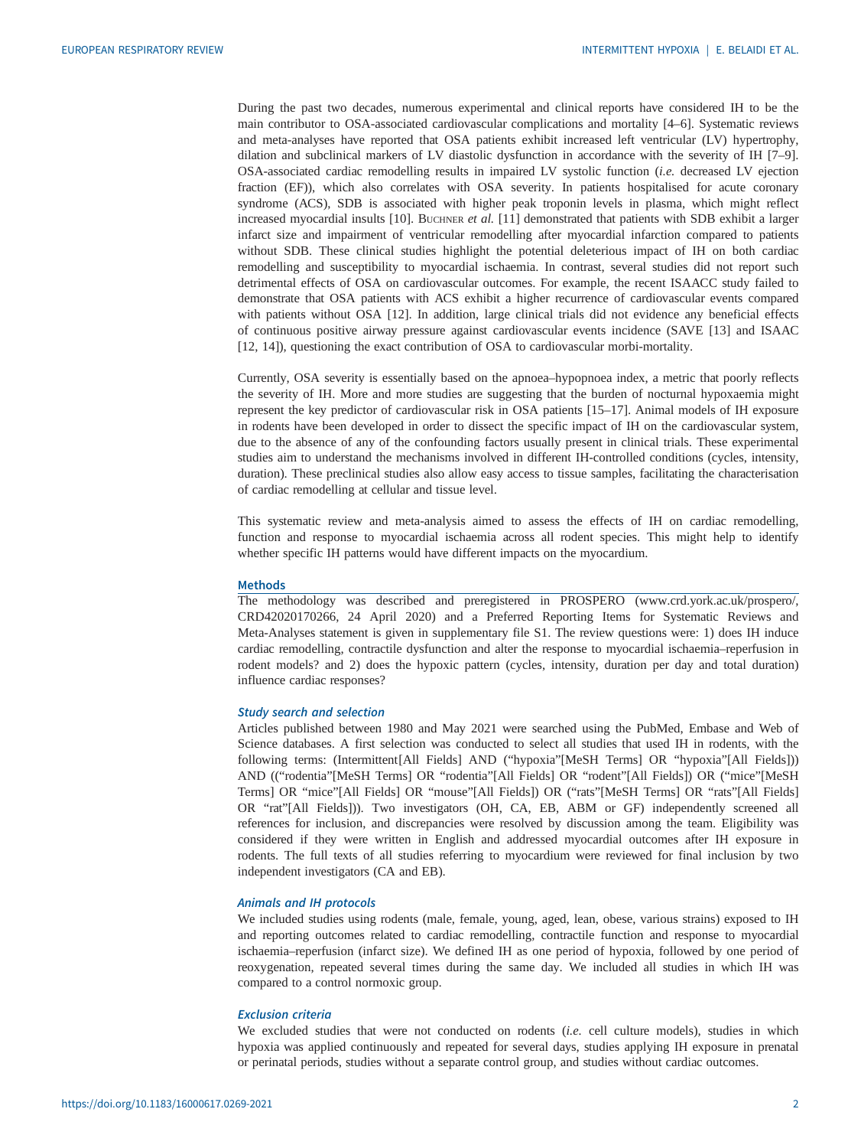During the past two decades, numerous experimental and clinical reports have considered IH to be the main contributor to OSA-associated cardiovascular complications and mortality [[4](#page-15-0)–[6](#page-15-0)]. Systematic reviews and meta-analyses have reported that OSA patients exhibit increased left ventricular (LV) hypertrophy, dilation and subclinical markers of LV diastolic dysfunction in accordance with the severity of IH [\[7](#page-15-0)–[9\]](#page-15-0). OSA-associated cardiac remodelling results in impaired LV systolic function (i.e. decreased LV ejection fraction (EF)), which also correlates with OSA severity. In patients hospitalised for acute coronary syndrome (ACS), SDB is associated with higher peak troponin levels in plasma, which might reflect increased myocardial insults [\[10](#page-15-0)]. BUCHNER et al. [[11\]](#page-15-0) demonstrated that patients with SDB exhibit a larger infarct size and impairment of ventricular remodelling after myocardial infarction compared to patients without SDB. These clinical studies highlight the potential deleterious impact of IH on both cardiac remodelling and susceptibility to myocardial ischaemia. In contrast, several studies did not report such detrimental effects of OSA on cardiovascular outcomes. For example, the recent ISAACC study failed to demonstrate that OSA patients with ACS exhibit a higher recurrence of cardiovascular events compared with patients without OSA [[12\]](#page-15-0). In addition, large clinical trials did not evidence any beneficial effects of continuous positive airway pressure against cardiovascular events incidence (SAVE [[13\]](#page-15-0) and ISAAC [\[12](#page-15-0), [14](#page-15-0)]), questioning the exact contribution of OSA to cardiovascular morbi-mortality.

Currently, OSA severity is essentially based on the apnoea–hypopnoea index, a metric that poorly reflects the severity of IH. More and more studies are suggesting that the burden of nocturnal hypoxaemia might represent the key predictor of cardiovascular risk in OSA patients [\[15](#page-15-0)–[17\]](#page-16-0). Animal models of IH exposure in rodents have been developed in order to dissect the specific impact of IH on the cardiovascular system, due to the absence of any of the confounding factors usually present in clinical trials. These experimental studies aim to understand the mechanisms involved in different IH-controlled conditions (cycles, intensity, duration). These preclinical studies also allow easy access to tissue samples, facilitating the characterisation of cardiac remodelling at cellular and tissue level.

This systematic review and meta-analysis aimed to assess the effects of IH on cardiac remodelling, function and response to myocardial ischaemia across all rodent species. This might help to identify whether specific IH patterns would have different impacts on the myocardium.

## Methods

The methodology was described and preregistered in PROSPERO [\(www.crd.york.ac.uk/prospero/](http://www.crd.york.ac.uk/prospero/), CRD42020170266, 24 April 2020) and a Preferred Reporting Items for Systematic Reviews and Meta-Analyses statement is given in [supplementary file S1.](http://err.ersjournals.com/lookup/doi/10.1183/16000617.0269-2021.figures-only#fig-data-supplementary-materials) The review questions were: 1) does IH induce cardiac remodelling, contractile dysfunction and alter the response to myocardial ischaemia–reperfusion in rodent models? and 2) does the hypoxic pattern (cycles, intensity, duration per day and total duration) influence cardiac responses?

#### Study search and selection

Articles published between 1980 and May 2021 were searched using the PubMed, Embase and Web of Science databases. A first selection was conducted to select all studies that used IH in rodents, with the following terms: (Intermittent[All Fields] AND ("hypoxia"[MeSH Terms] OR "hypoxia"[All Fields])) AND (("rodentia"[MeSH Terms] OR "rodentia"[All Fields] OR "rodent"[All Fields]) OR ("mice"[MeSH Terms] OR "mice"[All Fields] OR "mouse"[All Fields]) OR ("rats"[MeSH Terms] OR "rats"[All Fields] OR "rat"[All Fields])). Two investigators (OH, CA, EB, ABM or GF) independently screened all references for inclusion, and discrepancies were resolved by discussion among the team. Eligibility was considered if they were written in English and addressed myocardial outcomes after IH exposure in rodents. The full texts of all studies referring to myocardium were reviewed for final inclusion by two independent investigators (CA and EB).

## Animals and IH protocols

We included studies using rodents (male, female, young, aged, lean, obese, various strains) exposed to IH and reporting outcomes related to cardiac remodelling, contractile function and response to myocardial ischaemia–reperfusion (infarct size). We defined IH as one period of hypoxia, followed by one period of reoxygenation, repeated several times during the same day. We included all studies in which IH was compared to a control normoxic group.

## Exclusion criteria

We excluded studies that were not conducted on rodents (i.e. cell culture models), studies in which hypoxia was applied continuously and repeated for several days, studies applying IH exposure in prenatal or perinatal periods, studies without a separate control group, and studies without cardiac outcomes.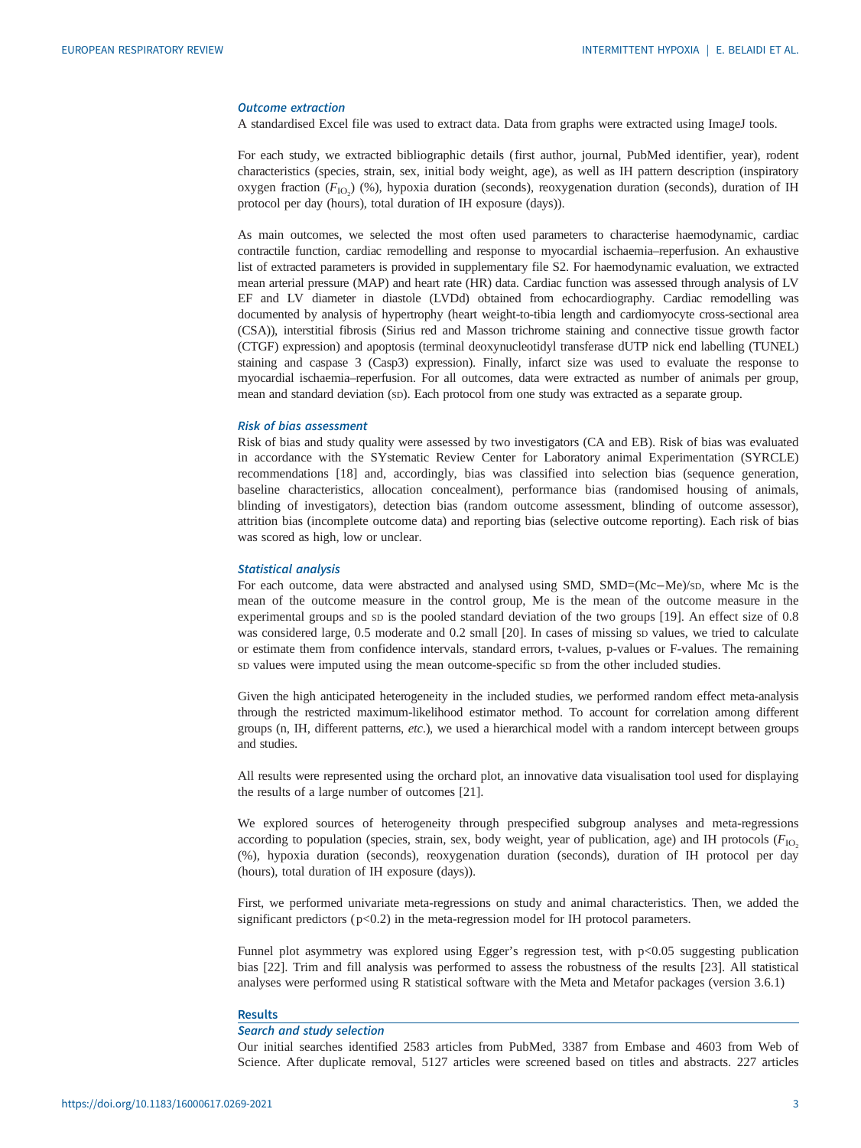#### Outcome extraction

A standardised Excel file was used to extract data. Data from graphs were extracted using ImageJ tools.

For each study, we extracted bibliographic details (first author, journal, PubMed identifier, year), rodent characteristics (species, strain, sex, initial body weight, age), as well as IH pattern description (inspiratory oxygen fraction  $(F_{IO_2})$  (%), hypoxia duration (seconds), reoxygenation duration (seconds), duration of IH protocol per day (hours), total duration of IH exposure (days)).

As main outcomes, we selected the most often used parameters to characterise haemodynamic, cardiac contractile function, cardiac remodelling and response to myocardial ischaemia–reperfusion. An exhaustive list of extracted parameters is provided in [supplementary file S2.](http://err.ersjournals.com/lookup/doi/10.1183/16000617.0269-2021.figures-only#fig-data-supplementary-materials) For haemodynamic evaluation, we extracted mean arterial pressure (MAP) and heart rate (HR) data. Cardiac function was assessed through analysis of LV EF and LV diameter in diastole (LVDd) obtained from echocardiography. Cardiac remodelling was documented by analysis of hypertrophy (heart weight-to-tibia length and cardiomyocyte cross-sectional area (CSA)), interstitial fibrosis (Sirius red and Masson trichrome staining and connective tissue growth factor (CTGF) expression) and apoptosis (terminal deoxynucleotidyl transferase dUTP nick end labelling (TUNEL) staining and caspase 3 (Casp3) expression). Finally, infarct size was used to evaluate the response to myocardial ischaemia–reperfusion. For all outcomes, data were extracted as number of animals per group, mean and standard deviation (SD). Each protocol from one study was extracted as a separate group.

#### Risk of bias assessment

Risk of bias and study quality were assessed by two investigators (CA and EB). Risk of bias was evaluated in accordance with the SYstematic Review Center for Laboratory animal Experimentation (SYRCLE) recommendations [\[18](#page-16-0)] and, accordingly, bias was classified into selection bias (sequence generation, baseline characteristics, allocation concealment), performance bias (randomised housing of animals, blinding of investigators), detection bias (random outcome assessment, blinding of outcome assessor), attrition bias (incomplete outcome data) and reporting bias (selective outcome reporting). Each risk of bias was scored as high, low or unclear.

## Statistical analysis

For each outcome, data were abstracted and analysed using SMD, SMD=(Mc−Me)/SD, where Mc is the mean of the outcome measure in the control group, Me is the mean of the outcome measure in the experimental groups and sp is the pooled standard deviation of the two groups [\[19](#page-16-0)]. An effect size of 0.8 was considered large, 0.5 moderate and 0.2 small [\[20](#page-16-0)]. In cases of missing sp values, we tried to calculate or estimate them from confidence intervals, standard errors, t-values, p-values or F-values. The remaining SD values were imputed using the mean outcome-specific SD from the other included studies.

Given the high anticipated heterogeneity in the included studies, we performed random effect meta-analysis through the restricted maximum-likelihood estimator method. To account for correlation among different groups (n, IH, different patterns, etc.), we used a hierarchical model with a random intercept between groups and studies.

All results were represented using the orchard plot, an innovative data visualisation tool used for displaying the results of a large number of outcomes [[21](#page-16-0)].

We explored sources of heterogeneity through prespecified subgroup analyses and meta-regressions according to population (species, strain, sex, body weight, year of publication, age) and IH protocols ( $F_{1O}$ , (%), hypoxia duration (seconds), reoxygenation duration (seconds), duration of IH protocol per day (hours), total duration of IH exposure (days)).

First, we performed univariate meta-regressions on study and animal characteristics. Then, we added the significant predictors  $(p<0.2)$  in the meta-regression model for IH protocol parameters.

Funnel plot asymmetry was explored using Egger's regression test, with p<0.05 suggesting publication bias [\[22](#page-16-0)]. Trim and fill analysis was performed to assess the robustness of the results [[23\]](#page-16-0). All statistical analyses were performed using R statistical software with the Meta and Metafor packages (version 3.6.1)

## **Results**

## Search and study selection

Our initial searches identified 2583 articles from PubMed, 3387 from Embase and 4603 from Web of Science. After duplicate removal, 5127 articles were screened based on titles and abstracts. 227 articles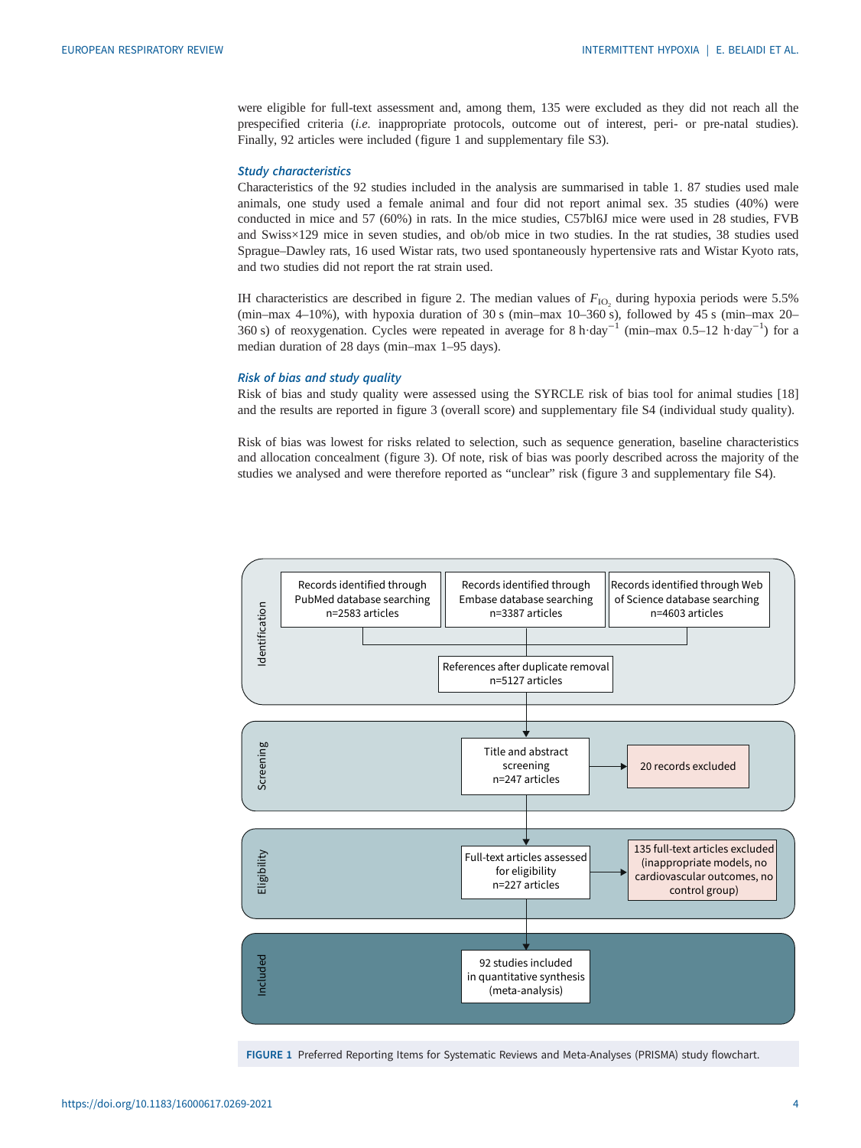were eligible for full-text assessment and, among them, 135 were excluded as they did not reach all the prespecified criteria (i.e. inappropriate protocols, outcome out of interest, peri- or pre-natal studies). Finally, 92 articles were included (figure 1 and [supplementary file S3](http://err.ersjournals.com/lookup/doi/10.1183/16000617.0269-2021.figures-only#fig-data-supplementary-materials)).

#### Study characteristics

Characteristics of the 92 studies included in the analysis are summarised in [table 1](#page-4-0). 87 studies used male animals, one study used a female animal and four did not report animal sex. 35 studies (40%) were conducted in mice and 57 (60%) in rats. In the mice studies, C57bl6J mice were used in 28 studies, FVB and Swiss×129 mice in seven studies, and ob/ob mice in two studies. In the rat studies, 38 studies used Sprague–Dawley rats, 16 used Wistar rats, two used spontaneously hypertensive rats and Wistar Kyoto rats, and two studies did not report the rat strain used.

IH characteristics are described in [figure 2.](#page-9-0) The median values of  $F_{1O_2}$  during hypoxia periods were 5.5% (min–max 4–10%), with hypoxia duration of 30 s (min–max 10–360 s), followed by 45 s (min–max 20– 360 s) of reoxygenation. Cycles were repeated in average for 8 h·day−<sup>1</sup> (min–max 0.5–12 h·day−<sup>1</sup> ) for a median duration of 28 days (min–max 1–95 days).

## Risk of bias and study quality

Risk of bias and study quality were assessed using the SYRCLE risk of bias tool for animal studies [[18\]](#page-16-0) and the results are reported in [figure 3](#page-9-0) (overall score) and [supplementary file S4](http://err.ersjournals.com/lookup/doi/10.1183/16000617.0269-2021.figures-only#fig-data-supplementary-materials) (individual study quality).

Risk of bias was lowest for risks related to selection, such as sequence generation, baseline characteristics and allocation concealment ([figure 3\)](#page-9-0). Of note, risk of bias was poorly described across the majority of the studies we analysed and were therefore reported as "unclear" risk ([figure 3](#page-9-0) and [supplementary file S4\)](http://err.ersjournals.com/lookup/doi/10.1183/16000617.0269-2021.figures-only#fig-data-supplementary-materials).



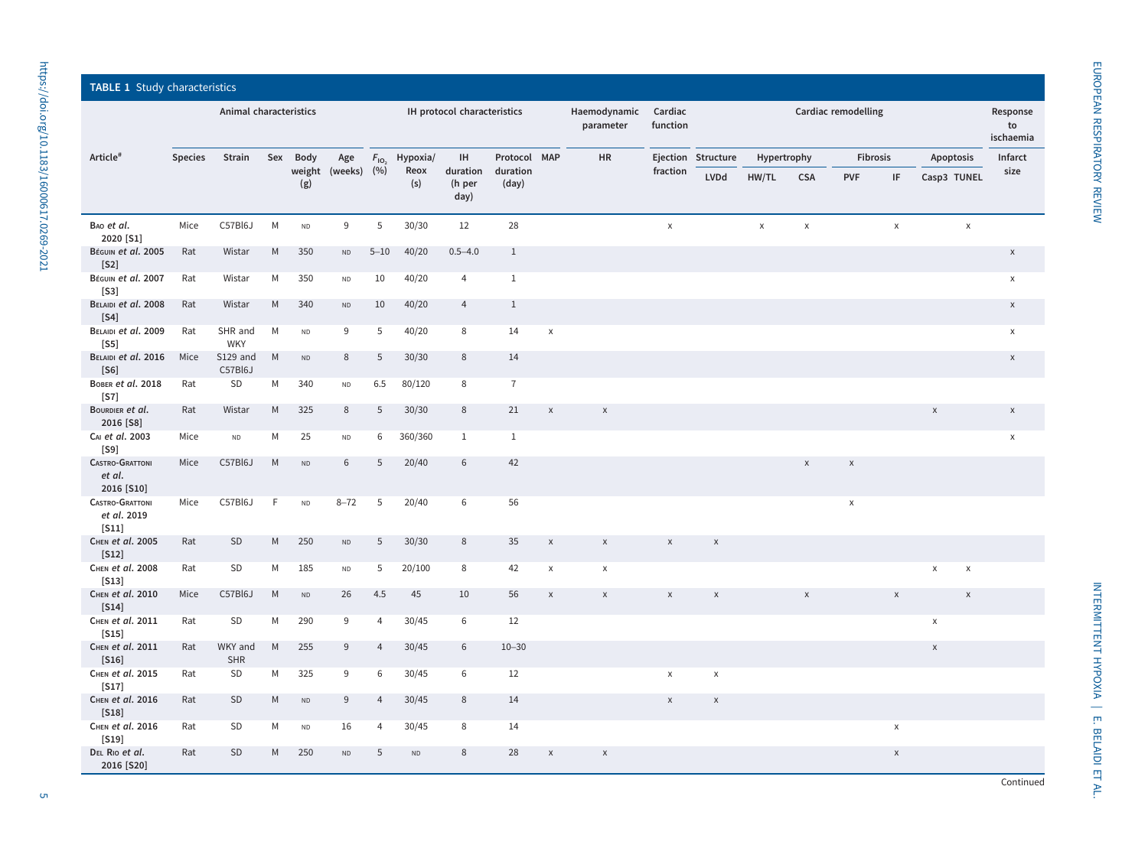| <b>TABLE 1 Study characteristics</b>           |                |                        |             |                           |                         |                |                         |                                   |                                   |                           |                           |                                 |                                   |                      |             |                |                       |                          |                 |
|------------------------------------------------|----------------|------------------------|-------------|---------------------------|-------------------------|----------------|-------------------------|-----------------------------------|-----------------------------------|---------------------------|---------------------------|---------------------------------|-----------------------------------|----------------------|-------------|----------------|-----------------------|--------------------------|-----------------|
|                                                |                | Animal characteristics |             |                           |                         |                |                         | IH protocol characteristics       |                                   |                           | Haemodynamic<br>parameter | Cardiac<br>function<br>fraction | Cardiac remodelling               |                      |             |                |                       |                          |                 |
| Article <sup>#</sup>                           | <b>Species</b> | Strain                 |             | Sex Body<br>weight<br>(g) | Age<br>$( weeks)$ $(%)$ | $F_{10_2}$     | Hypoxia/<br>Reox<br>(s) | IH.<br>duration<br>(h per<br>day) | Protocol MAP<br>duration<br>(day) |                           | <b>HR</b>                 |                                 | Ejection Structure<br><b>LVDd</b> | Hypertrophy<br>HW/TL | <b>CSA</b>  | <b>PVF</b>     | <b>Fibrosis</b><br>IF | Apoptosis<br>Casp3 TUNEL | Infarct<br>size |
| BAO et al.<br>2020 [S1]                        | Mice           | C57Bl6J                | M           | ND                        | 9                       | 5              | 30/30                   | 12                                | 28                                |                           |                           | $\mathsf X$                     |                                   | $\mathsf X$          | $\mathsf X$ |                | $\mathsf X$           | $\mathsf X$              |                 |
| Béguin et al. 2005<br>[S2]                     | Rat            | Wistar                 | M           | 350                       | ND                      | $5 - 10$       | 40/20                   | $0.5 - 4.0$                       | 1                                 |                           |                           |                                 |                                   |                      |             |                |                       |                          | $\mathsf X$     |
| Béguin et al. 2007<br>$[S3]$                   | Rat            | Wistar                 | M           | 350                       | ND                      | 10             | 40/20                   | 4                                 | $\mathbf{1}$                      |                           |                           |                                 |                                   |                      |             |                |                       |                          | $\mathsf X$     |
| BELAIDI et al. 2008<br>$[S4]$                  | Rat            | Wistar                 | М           | 340                       | $\sf ND$                | 10             | 40/20                   | 4                                 | $\mathbf{1}$                      |                           |                           |                                 |                                   |                      |             |                |                       |                          | $\mathsf X$     |
| BELAIDI et al. 2009<br>$[5]$                   | Rat            | SHR and<br><b>WKY</b>  | М           | <b>ND</b>                 | 9                       | 5              | 40/20                   | 8                                 | 14                                | $\pmb{\times}$            |                           |                                 |                                   |                      |             |                |                       |                          | $\mathsf X$     |
| BELAIDI et al. 2016<br>$[S6]$                  | Mice           | S129 and<br>C57Bl6J    | M           | <b>ND</b>                 | 8                       | 5              | 30/30                   | 8                                 | 14                                |                           |                           |                                 |                                   |                      |             |                |                       |                          | $\mathsf X$     |
| BOBER et al. 2018<br>[ <sub>S7</sub> ]         | Rat            | SD                     | M           | 340                       | $\mathsf{ND}$           | 6.5            | 80/120                  | 8                                 | $\overline{7}$                    |                           |                           |                                 |                                   |                      |             |                |                       |                          |                 |
| BOURDIER et al.<br>2016 [S8]                   | Rat            | Wistar                 | M           | 325                       | 8                       | 5              | 30/30                   | $\,8\,$                           | 21                                | $\boldsymbol{\mathsf{X}}$ | $\mathsf X$               |                                 |                                   |                      |             |                |                       | $\mathsf X$              | $\mathsf X$     |
| CAI et al. 2003<br>[ <sub>S</sub> 9]           | Mice           | ND                     | М           | 25                        | $\sf ND$                | 6              | 360/360                 | $\mathbf{1}$                      | $\mathbf{1}$                      |                           |                           |                                 |                                   |                      |             |                |                       |                          | $\mathsf X$     |
| <b>CASTRO-GRATTONI</b><br>et al.<br>2016 [S10] | Mice           | C57Bl6J                | M           | ND                        | 6                       | 5              | 20/40                   | 6                                 | 42                                |                           |                           |                                 |                                   |                      | $\mathsf X$ | $\mathsf X$    |                       |                          |                 |
| <b>CASTRO-GRATTONI</b><br>et al. 2019<br>[511] | Mice           | C57Bl6J                | $\mathsf F$ | <b>ND</b>                 | $8 - 72$                | 5              | 20/40                   | 6                                 | 56                                |                           |                           |                                 |                                   |                      |             | $\pmb{\times}$ |                       |                          |                 |
| CHEN et al. 2005<br>$[S12]$                    | Rat            | SD                     | M           | 250                       | ND                      | 5              | 30/30                   | 8                                 | 35                                | $\boldsymbol{\mathsf{X}}$ | $\mathsf{X}$              | $\mathsf{x}$                    | $\,$ X                            |                      |             |                |                       |                          |                 |
| CHEN et al. 2008<br>[ <sub>S13</sub> ]         | Rat            | SD                     | М           | 185                       | $\sf ND$                | 5              | 20/100                  | 8                                 | 42                                | $\pmb{\times}$            | $\mathsf X$               |                                 |                                   |                      |             |                |                       | X<br>$\mathsf X$         |                 |
| CHEN et al. 2010<br>$[514]$                    | Mice           | C57Bl6J                | ${\sf M}$   | $\mathsf{ND}$             | 26                      | 4.5            | 45                      | 10                                | 56                                | $\mathsf X$               | $\mathsf X$               | $\mathsf X$                     | $\,$ X                            |                      | $\mathsf X$ |                | X                     | $\mathsf X$              |                 |
| CHEN et al. 2011<br>[ <sub>515</sub> ]         | Rat            | SD                     | М           | 290                       | 9                       | 4              | 30/45                   | 6                                 | 12                                |                           |                           |                                 |                                   |                      |             |                |                       | X                        |                 |
| CHEN et al. 2011<br>$[S16]$                    | Rat            | WKY and<br><b>SHR</b>  | ${\sf M}$   | 255                       | 9                       | $\overline{4}$ | 30/45                   | 6                                 | $10 - 30$                         |                           |                           |                                 |                                   |                      |             |                |                       | $\mathsf X$              |                 |
| CHEN et al. 2015<br>$[S17]$                    | Rat            | SD                     | М           | 325                       | 9                       | 6              | 30/45                   | 6                                 | 12                                |                           |                           | X                               | $\mathsf X$                       |                      |             |                |                       |                          |                 |
| CHEN et al. 2016<br>[ <sub>S18</sub> ]         | Rat            | SD                     | M           | <b>ND</b>                 | 9                       | $\overline{4}$ | 30/45                   | 8                                 | 14                                |                           |                           | $\mathsf X$                     | $\mathsf X$                       |                      |             |                |                       |                          |                 |
| CHEN et al. 2016<br>[519]                      | Rat            | SD                     | M           | ND                        | 16                      | 4              | 30/45                   | 8                                 | 14                                |                           |                           |                                 |                                   |                      |             |                | X                     |                          |                 |
| DEL RIO et al.<br>2016 [S20]                   | Rat            | SD                     | M           | 250                       | $\sf ND$                | 5              | $\sf ND$                | 8                                 | 28                                | $\boldsymbol{\mathsf{X}}$ | $\mathsf X$               |                                 |                                   |                      |             |                | X                     |                          |                 |

<span id="page-4-0"></span>https://doi.org/10.1183/16000617.0269-2021

EUROPEAN RESPIRATORY REVIEW INTERMINATION FOR PROFINATION INTERNATIONAL EXPERIES INTERNATIONAL ALTERMITTENT HY INTERMITTENT HYPOXIA | E. BELAIDI ET AL.

EUROPEAN RESPIRATORY REVIEW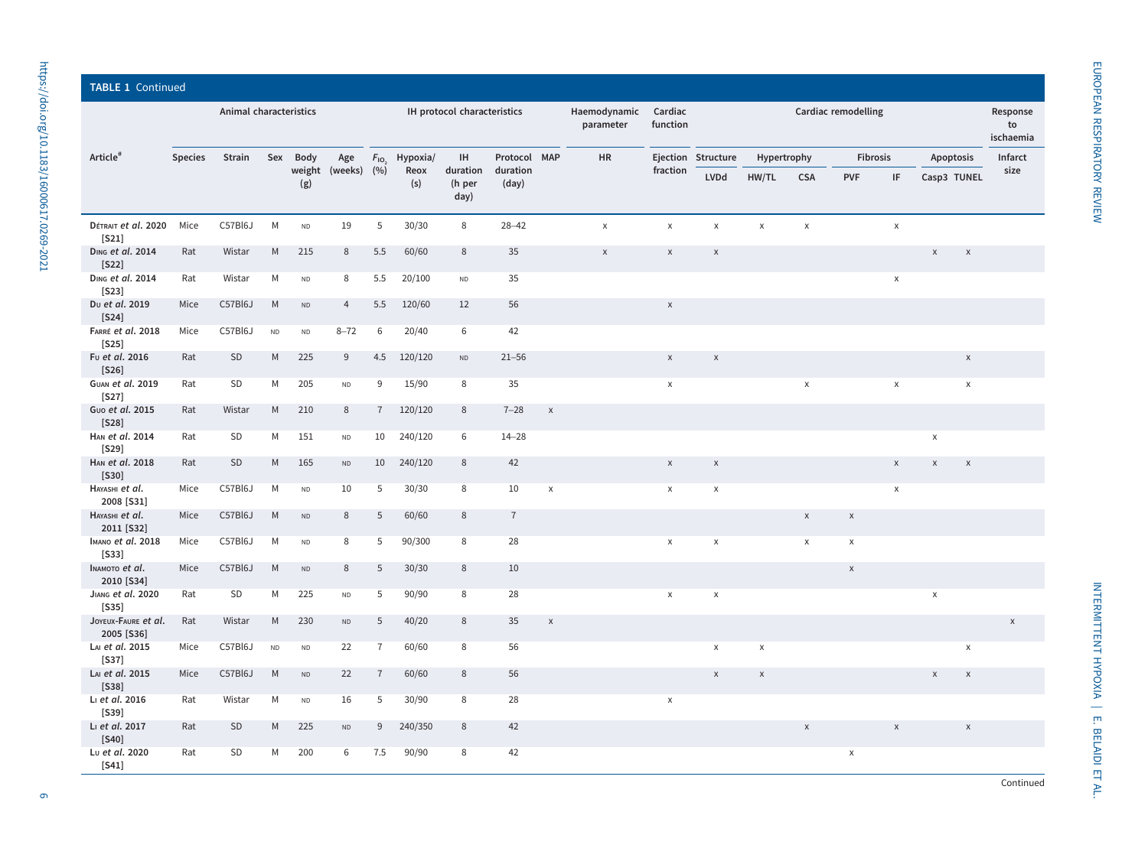|                                      | <b>TABLE 1 Continued</b><br><b>Cardiac remodelling</b> |                        |           |               |                |                |             |                             |                   |              |                           |                     |                    |                             |                |                 |             |             |                |             |
|--------------------------------------|--------------------------------------------------------|------------------------|-----------|---------------|----------------|----------------|-------------|-----------------------------|-------------------|--------------|---------------------------|---------------------|--------------------|-----------------------------|----------------|-----------------|-------------|-------------|----------------|-------------|
|                                      |                                                        | Animal characteristics |           |               |                |                |             | IH protocol characteristics |                   |              | Haemodynamic<br>parameter | Cardiac<br>function |                    | Response<br>to<br>ischaemia |                |                 |             |             |                |             |
| Article <sup>#</sup>                 | <b>Species</b>                                         | Strain                 | Sex       | Body          | Age            | $F_{10}$       | Hypoxia/    | IH                          | Protocol MAP      |              | <b>HR</b>                 |                     | Ejection Structure | Hypertrophy                 |                | <b>Fibrosis</b> |             | Apoptosis   |                | Infarct     |
|                                      |                                                        |                        |           | weight<br>(g) | (weeks) $(%)$  |                | Reox<br>(s) | duration<br>(h per<br>day)  | duration<br>(day) |              |                           | fraction            | <b>LVDd</b>        | HW/TL                       | <b>CSA</b>     | <b>PVF</b>      | IF          | Casp3 TUNEL |                | size        |
| DÉTRAIT et al. 2020<br>$[S21]$       | Mice                                                   | C57Bl6J                | M         | ND            | 19             | 5              | 30/30       | 8                           | $28 - 42$         |              | $\mathsf X$               | $\mathsf X$         | $\mathsf X$        | $\mathsf X$                 | $\mathsf X$    |                 | $\mathsf X$ |             |                |             |
| DING et al. 2014<br>$[S22]$          | Rat                                                    | Wistar                 | ${\sf M}$ | 215           | 8              | 5.5            | 60/60       | $\,8\,$                     | 35                |              | $\mathsf X$               | $\mathsf X$         | $\mathsf X$        |                             |                |                 |             | $\mathsf X$ | $\mathsf X$    |             |
| DING et al. 2014<br>$[S23]$          | Rat                                                    | Wistar                 | M         | $\mathsf{ND}$ | 8              | 5.5            | 20/100      | $\sf ND$                    | 35                |              |                           |                     |                    |                             |                |                 | X           |             |                |             |
| Du et al. 2019<br>$[S24]$            | Mice                                                   | C57Bl6J                | M         | $\mathsf{ND}$ | $\overline{4}$ | 5.5            | 120/60      | 12                          | 56                |              |                           | $\mathsf X$         |                    |                             |                |                 |             |             |                |             |
| FARRÉ et al. 2018<br>$[S25]$         | Mice                                                   | C57Bl6J                | $\sf ND$  | $\mathsf{ND}$ | $8 - 72$       | 6              | 20/40       | 6                           | 42                |              |                           |                     |                    |                             |                |                 |             |             |                |             |
| Fu et al. 2016<br>$[S26]$            | Rat                                                    | SD                     | ${\sf M}$ | 225           | 9              | 4.5            | 120/120     | ND                          | $21 - 56$         |              |                           | $\mathsf X$         | $\mathsf X$        |                             |                |                 |             |             | $\mathsf X$    |             |
| <b>GUAN et al. 2019</b><br>$[S27]$   | Rat                                                    | <b>SD</b>              | M         | 205           | $\sf ND$       | 9              | 15/90       | $\,8\,$                     | 35                |              |                           | X                   |                    |                             | $\pmb{\times}$ |                 | X           |             | $\pmb{\times}$ |             |
| Guo et al. 2015<br>$[S28]$           | Rat                                                    | Wistar                 | M         | 210           | 8              | $7^{\circ}$    | 120/120     | $\,8\,$                     | $7 - 28$          | $\mathsf X$  |                           |                     |                    |                             |                |                 |             |             |                |             |
| HAN et al. 2014<br>$[S29]$           | Rat                                                    | SD                     | M         | 151           | $\sf ND$       | 10             | 240/120     | 6                           | $14 - 28$         |              |                           |                     |                    |                             |                |                 |             | X           |                |             |
| HAN et al. 2018<br>$[S30]$           | Rat                                                    | SD                     | M         | 165           | $\sf ND$       | 10             | 240/120     | $\,8\,$                     | 42                |              |                           | $\mathsf X$         | $\pmb{\chi}$       |                             |                |                 | X           | X           | $\mathsf X$    |             |
| HAYASHI et al.<br>2008 [S31]         | Mice                                                   | C57Bl6J                | M         | <b>ND</b>     | 10             | 5              | 30/30       | 8                           | 10                | $\pmb{\chi}$ |                           | $\pmb{\mathsf{X}}$  | $\pmb{\times}$     |                             |                |                 | X           |             |                |             |
| HAYASHI et al.<br>2011 [S32]         | Mice                                                   | C57Bl6J                | M         | <b>ND</b>     | 8              | 5              | 60/60       | 8                           | $\overline{7}$    |              |                           |                     |                    |                             | $\mathsf X$    | $\mathsf X$     |             |             |                |             |
| IMANO et al. 2018<br>$[S33]$         | Mice                                                   | C57Bl6J                | M         | <b>ND</b>     | 8              | 5              | 90/300      | 8                           | 28                |              |                           | X                   | $\pmb{\times}$     |                             | $\mathsf X$    | $\pmb{\times}$  |             |             |                |             |
| INAMOTO et al.<br>2010 [S34]         | Mice                                                   | C57Bl6J                | M         | ND            | 8              | 5              | 30/30       | 8                           | 10                |              |                           |                     |                    |                             |                | $\mathsf X$     |             |             |                |             |
| JIANG et al. 2020<br>$[S35]$         | Rat                                                    | SD                     | M         | 225           | $\sf ND$       | 5              | 90/90       | 8                           | 28                |              |                           | $\mathsf X$         | $\pmb{\times}$     |                             |                |                 |             | $\mathsf X$ |                |             |
| JOYEUX-FAURE et al.<br>2005 [S36]    | Rat                                                    | Wistar                 | M         | 230           | $\sf ND$       | 5              | 40/20       | $\,8\,$                     | 35                | $\mathsf X$  |                           |                     |                    |                             |                |                 |             |             |                | $\mathsf X$ |
| LAI et al. 2015<br>$[S37]$           | Mice                                                   | C57Bl6J                | $\sf ND$  | $\mathsf{ND}$ | 22             | $\overline{7}$ | 60/60       | 8                           | 56                |              |                           |                     | X                  | $\pmb{\times}$              |                |                 |             |             | $\pmb{\times}$ |             |
| LAI et al. 2015<br>$[S38]$           | Mice                                                   | C57Bl6J                | M         | ND            | 22             | $\overline{7}$ | 60/60       | 8                           | 56                |              |                           |                     | $\mathsf X$        | $\pmb{\times}$              |                |                 |             | $\mathsf X$ | $\mathsf X$    |             |
| Li et al. 2016<br>$[S39]$            | Rat                                                    | Wistar                 | М         | ND            | 16             | 5              | 30/90       | 8                           | 28                |              |                           | X                   |                    |                             |                |                 |             |             |                |             |
| Li et al. 2017<br>[ <sub>S40</sub> ] | Rat                                                    | <b>SD</b>              | M         | 225           | ND             | 9              | 240/350     | 8                           | 42                |              |                           |                     |                    |                             | $\mathsf X$    |                 | $\mathsf X$ |             | $\mathsf X$    |             |
| Lu et al. 2020<br>$[S41]$            | Rat                                                    | SD                     | M         | 200           | 6              | 7.5            | 90/90       | 8                           | 42                |              |                           |                     |                    |                             |                | $\pmb{\times}$  |             |             |                |             |

EUROPEAN RESPIRATORY REVIEW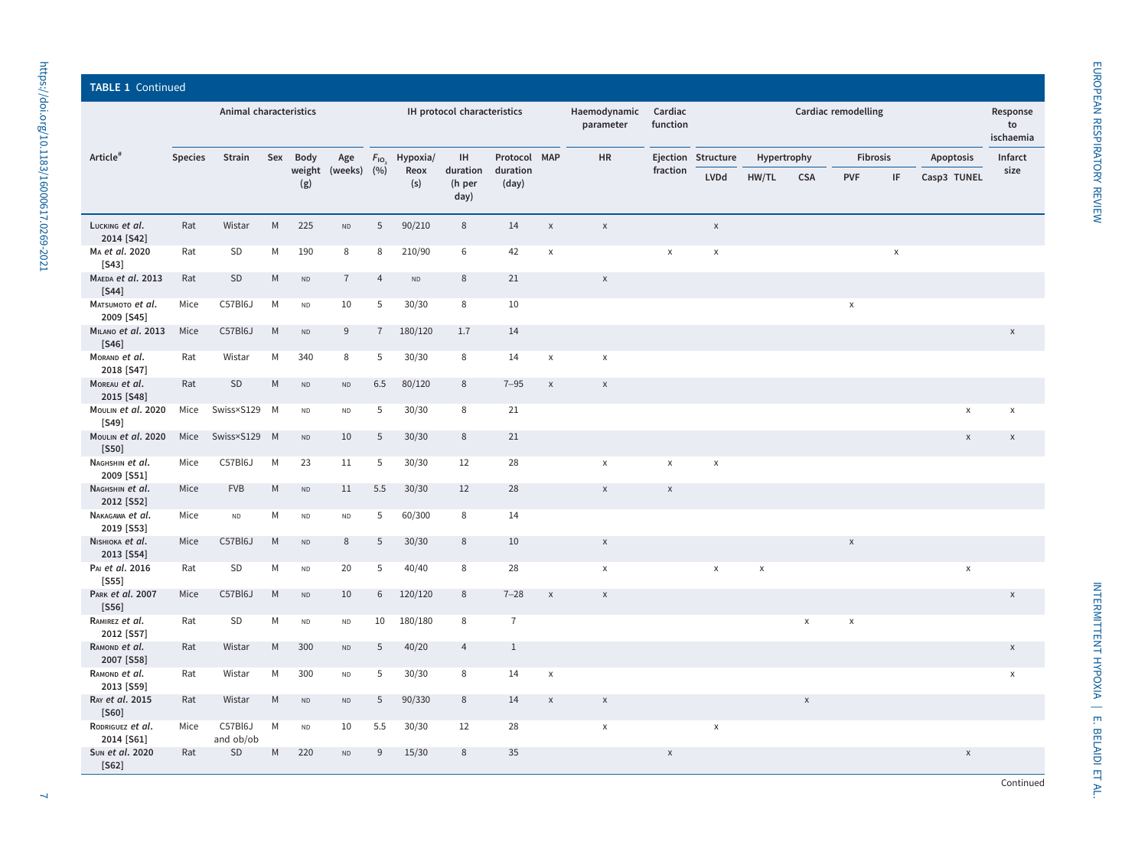|                                          | <b>TABLE 1 Continued</b><br>Animal characteristics<br>IH protocol characteristics<br>Haemodynamic<br>Cardiac<br>Cardiac remodelling |                      |           |               |                |                |             |                            |                   |              |              |                    |                    |                             |                           |                 |                           |                           |                           |
|------------------------------------------|-------------------------------------------------------------------------------------------------------------------------------------|----------------------|-----------|---------------|----------------|----------------|-------------|----------------------------|-------------------|--------------|--------------|--------------------|--------------------|-----------------------------|---------------------------|-----------------|---------------------------|---------------------------|---------------------------|
|                                          |                                                                                                                                     |                      |           |               |                |                |             |                            |                   |              | parameter    | function           |                    | Response<br>to<br>ischaemia |                           |                 |                           |                           |                           |
| Article <sup>#</sup>                     | <b>Species</b>                                                                                                                      | Strain               | Sex       | Body          | Age            | $F_{10}$       | Hypoxia/    | IH                         | Protocol MAP      |              | HR           |                    | Ejection Structure | Hypertrophy                 |                           | <b>Fibrosis</b> |                           | Apoptosis                 | Infarct                   |
|                                          |                                                                                                                                     |                      |           | weight<br>(g) | (weeks)        | (9/6)          | Reox<br>(s) | duration<br>(h per<br>day) | duration<br>(day) |              |              | fraction           | <b>LVDd</b>        | HW/TL                       | <b>CSA</b>                | <b>PVF</b>      | IF                        | Casp3 TUNEL               | size                      |
| LUCKING et al.<br>2014 [S42]             | Rat                                                                                                                                 | Wistar               | ${\sf M}$ | 225           | ND             | $\sqrt{5}$     | 90/210      | $\,8\,$                    | 14                | $\mathsf X$  | $\mathsf X$  |                    | $\mathsf X$        |                             |                           |                 |                           |                           |                           |
| MA et al. 2020<br>$[S43]$                | Rat                                                                                                                                 | SD                   | М         | 190           | 8              | 8              | 210/90      | 6                          | 42                | X            |              | X                  | $\pmb{\times}$     |                             |                           |                 | $\boldsymbol{\mathsf{X}}$ |                           |                           |
| MAEDA et al. 2013<br>$[S44]$             | Rat                                                                                                                                 | SD                   | M         | ND            | $\overline{7}$ | $\overline{4}$ | $\sf ND$    | $\,8\,$                    | 21                |              | $\mathsf X$  |                    |                    |                             |                           |                 |                           |                           |                           |
| MATSUMOTO et al.<br>2009 [S45]           | Mice                                                                                                                                | C57Bl6J              | M         | $\sf ND$      | 10             | 5              | 30/30       | 8                          | 10                |              |              |                    |                    |                             |                           | $\mathsf X$     |                           |                           |                           |
| MILANO et al. 2013<br>$[S46]$            | Mice                                                                                                                                | C57Bl6J              | ${\sf M}$ | ND            | 9              | $\overline{7}$ | 180/120     | 1.7                        | 14                |              |              |                    |                    |                             |                           |                 |                           |                           | $\pmb{\times}$            |
| MORAND et al.<br>2018 [S47]              | Rat                                                                                                                                 | Wistar               | M         | 340           | 8              | 5              | 30/30       | 8                          | 14                | X            | $\pmb{\chi}$ |                    |                    |                             |                           |                 |                           |                           |                           |
| MOREAU et al.<br>2015 [S48]              | Rat                                                                                                                                 | SD                   | M         | <b>ND</b>     | ND             | 6.5            | 80/120      | 8                          | $7 - 95$          | X            | $\mathsf X$  |                    |                    |                             |                           |                 |                           |                           |                           |
| MOULIN et al. 2020<br>$[S49]$            | Mice                                                                                                                                | Swiss×S129           | M         | <b>ND</b>     | $\sf ND$       | 5              | 30/30       | 8                          | 21                |              |              |                    |                    |                             |                           |                 |                           | $\boldsymbol{\mathsf{x}}$ | $\pmb{\times}$            |
| MOULIN et al. 2020<br>[ <sub>550</sub> ] | Mice                                                                                                                                | Swiss×S129           | M         | ND            | 10             | 5              | 30/30       | 8                          | 21                |              |              |                    |                    |                             |                           |                 |                           | $\mathsf X$               | X                         |
| NAGHSHIN et al.<br>2009 [S51]            | Mice                                                                                                                                | C57Bl6J              | M         | 23            | 11             | 5              | 30/30       | 12                         | 28                |              | $\mathsf X$  | $\pmb{\mathsf{X}}$ | $\mathsf X$        |                             |                           |                 |                           |                           |                           |
| NAGHSHIN et al.<br>2012 [S52]            | Mice                                                                                                                                | <b>FVB</b>           | ${\sf M}$ | ND            | 11             | 5.5            | 30/30       | 12                         | 28                |              | $\mathsf X$  | $\mathsf X$        |                    |                             |                           |                 |                           |                           |                           |
| NAKAGAWA et al.<br>2019 [S53]            | Mice                                                                                                                                | <b>ND</b>            | M         | ND            | ND             | 5              | 60/300      | 8                          | 14                |              |              |                    |                    |                             |                           |                 |                           |                           |                           |
| NISHIOKA et al.<br>2013 [S54]            | Mice                                                                                                                                | C57Bl6J              | ${\sf M}$ | ND            | 8              | 5              | 30/30       | 8                          | 10                |              | $\mathsf X$  |                    |                    |                             |                           | $\mathsf X$     |                           |                           |                           |
| PAI et al. 2016<br>$[S55]$               | Rat                                                                                                                                 | SD                   | M         | <b>ND</b>     | 20             | 5              | 40/40       | 8                          | 28                |              | $\mathsf X$  |                    | $\pmb{\chi}$       | $\mathsf X$                 |                           |                 |                           | $\pmb{\chi}$              |                           |
| PARK et al. 2007<br>$[S56]$              | Mice                                                                                                                                | C57Bl6J              | ${\sf M}$ | <b>ND</b>     | 10             | 6              | 120/120     | 8                          | $7 - 28$          | $\mathsf X$  | $\mathsf X$  |                    |                    |                             |                           |                 |                           |                           | $\pmb{\times}$            |
| RAMIREZ et al.<br>2012 [S57]             | Rat                                                                                                                                 | SD                   | М         | ND            | $\mathsf{ND}$  | 10             | 180/180     | 8                          | $\overline{7}$    |              |              |                    |                    |                             | X                         | $\pmb{\times}$  |                           |                           |                           |
| RAMOND et al.<br>2007 [S58]              | Rat                                                                                                                                 | Wistar               | M         | 300           | $\sf ND$       | 5              | 40/20       | $\overline{4}$             | $\mathbf{1}$      |              |              |                    |                    |                             |                           |                 |                           |                           | $\boldsymbol{\mathsf{x}}$ |
| RAMOND et al.<br>2013 [S59]              | Rat                                                                                                                                 | Wistar               | M         | 300           | $\sf ND$       | 5              | 30/30       | 8                          | 14                | $\pmb{\chi}$ |              |                    |                    |                             |                           |                 |                           |                           | $\pmb{\times}$            |
| RAY et al. 2015<br>[560]                 | Rat                                                                                                                                 | Wistar               | M         | <b>ND</b>     | ND             | 5              | 90/330      | 8                          | 14                | $\mathsf{x}$ | $\mathsf X$  |                    |                    |                             | $\boldsymbol{\mathsf{x}}$ |                 |                           |                           |                           |
| RODRIGUEZ et al.<br>2014 [S61]           | Mice                                                                                                                                | C57Bl6J<br>and ob/ob | M         | <b>ND</b>     | 10             | 5.5            | 30/30       | 12                         | 28                |              | $\mathsf X$  |                    | $\mathsf X$        |                             |                           |                 |                           |                           |                           |
| SUN et al. 2020<br>$[S62]$               | Rat                                                                                                                                 | SD                   | ${\sf M}$ | 220           | ND             | 9              | 15/30       | 8                          | 35                |              |              | $\mathsf X$        |                    |                             |                           |                 |                           | $\mathsf X$               |                           |

EUROPEAN RESPIRATORY REVIEW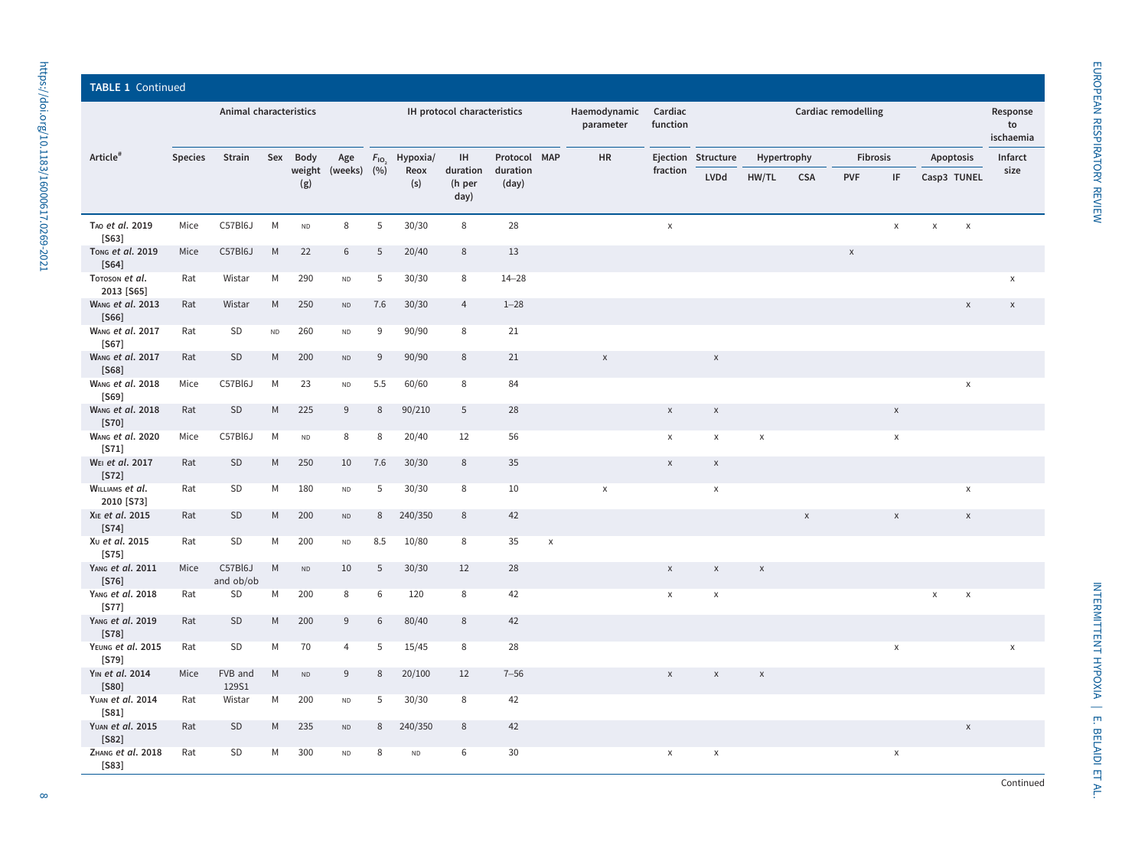|                                        | <b>TABLE 1 Continued</b><br>Cardiac remodelling |                        |           |               |               |          |             |                             |                   |                    |                           |                           |                    |                             |             |                 |                           |                |             |                |
|----------------------------------------|-------------------------------------------------|------------------------|-----------|---------------|---------------|----------|-------------|-----------------------------|-------------------|--------------------|---------------------------|---------------------------|--------------------|-----------------------------|-------------|-----------------|---------------------------|----------------|-------------|----------------|
|                                        |                                                 | Animal characteristics |           |               |               |          |             | IH protocol characteristics |                   |                    | Haemodynamic<br>parameter | Cardiac<br>function       |                    | Response<br>to<br>ischaemia |             |                 |                           |                |             |                |
| Article <sup>#</sup>                   | <b>Species</b>                                  | Strain                 | Sex       | Body          | Age           | $F_{10}$ | Hypoxia/    | IH                          | Protocol MAP      |                    | <b>HR</b>                 |                           | Ejection Structure | Hypertrophy                 |             | <b>Fibrosis</b> |                           |                | Apoptosis   | Infarct        |
|                                        |                                                 |                        |           | weight<br>(g) | (weeks) $(%)$ |          | Reox<br>(s) | duration<br>(h per<br>day)  | duration<br>(day) |                    |                           | fraction                  | LVDd               | HW/TL                       | <b>CSA</b>  | <b>PVF</b>      | IF                        |                | Casp3 TUNEL | size           |
| TAO et al. 2019<br>$[S63]$             | Mice                                            | C57Bl6J                | M         | <b>ND</b>     | 8             | 5        | 30/30       | 8                           | 28                |                    |                           | $\mathsf X$               |                    |                             |             |                 | $\mathsf X$               | $\mathsf X$    | $\mathsf X$ |                |
| TONG et al. 2019<br>$[S64]$            | Mice                                            | C57Bl6J                | ${\sf M}$ | 22            | 6             | 5        | 20/40       | $\,8\,$                     | 13                |                    |                           |                           |                    |                             |             | $\mathsf X$     |                           |                |             |                |
| TOTOSON et al.<br>2013 [S65]           | Rat                                             | Wistar                 | М         | 290           | $\sf ND$      | 5        | 30/30       | 8                           | $14 - 28$         |                    |                           |                           |                    |                             |             |                 |                           |                |             | $\mathsf X$    |
| WANG et al. 2013<br>$[S66]$            | Rat                                             | Wistar                 | M         | 250           | $\sf ND$      | 7.6      | 30/30       | $\overline{4}$              | $1 - 28$          |                    |                           |                           |                    |                             |             |                 |                           |                | $\mathsf X$ | $\mathsf X$    |
| WANG et al. 2017<br>$[S67]$            | Rat                                             | <b>SD</b>              | <b>ND</b> | 260           | <b>ND</b>     | 9        | 90/90       | 8                           | 21                |                    |                           |                           |                    |                             |             |                 |                           |                |             |                |
| WANG et al. 2017<br>[ <sub>S68</sub> ] | Rat                                             | SD                     | M         | 200           | <b>ND</b>     | 9        | 90/90       | 8                           | 21                |                    | $\mathsf X$               |                           | $\mathsf X$        |                             |             |                 |                           |                |             |                |
| WANG et al. 2018<br>$[S69]$            | Mice                                            | C57Bl6J                | М         | 23            | $\mathsf{ND}$ | 5.5      | 60/60       | 8                           | 84                |                    |                           |                           |                    |                             |             |                 |                           |                | X           |                |
| WANG et al. 2018<br>$[S70]$            | Rat                                             | SD                     | M         | 225           | 9             | $\,8\,$  | 90/210      | 5                           | 28                |                    |                           | $\mathsf X$               | $\pmb{\times}$     |                             |             |                 | $\boldsymbol{\mathsf{X}}$ |                |             |                |
| <b>WANG et al. 2020</b><br>$[ST1]$     | Mice                                            | C57Bl6J                | М         | <b>ND</b>     | 8             | 8        | 20/40       | 12                          | 56                |                    |                           | $\pmb{\chi}$              | X                  | $\pmb{\chi}$                |             |                 | $\mathsf X$               |                |             |                |
| <b>WEI et al. 2017</b><br>$[S72]$      | Rat                                             | SD                     | M         | 250           | 10            | 7.6      | 30/30       | 8                           | 35                |                    |                           | $\boldsymbol{\mathsf{X}}$ | $\mathsf X$        |                             |             |                 |                           |                |             |                |
| WILLIAMS et al.<br>2010 [S73]          | Rat                                             | <b>SD</b>              | M         | 180           | $\sf ND$      | 5        | 30/30       | 8                           | 10                |                    | $\mathsf X$               |                           | $\mathsf X$        |                             |             |                 |                           |                | $\mathsf X$ |                |
| XIE et al. 2015<br>$[S74]$             | Rat                                             | SD                     | M         | 200           | $\sf ND$      | 8        | 240/350     | 8                           | 42                |                    |                           |                           |                    |                             | $\mathsf X$ |                 | $\mathsf X$               |                | $\mathsf X$ |                |
| Xu et al. 2015<br>$[S75]$              | Rat                                             | SD                     | М         | 200           | ND            | 8.5      | 10/80       | 8                           | 35                | $\pmb{\mathsf{X}}$ |                           |                           |                    |                             |             |                 |                           |                |             |                |
| YANG et al. 2011<br>$[S76]$            | Mice                                            | C57Bl6J<br>and ob/ob   | M         | <b>ND</b>     | 10            | 5        | 30/30       | 12                          | 28                |                    |                           | $\mathsf X$               | $\mathsf X$        | $\mathsf X$                 |             |                 |                           |                |             |                |
| YANG et al. 2018<br>[ <sub>S77</sub> ] | Rat                                             | SD                     | М         | 200           | 8             | 6        | 120         | 8                           | 42                |                    |                           | $\pmb{\chi}$              | $\pmb{\times}$     |                             |             |                 |                           | $\pmb{\times}$ | $\mathsf X$ |                |
| YANG et al. 2019<br>[ <sub>S78</sub> ] | Rat                                             | SD                     | M         | 200           | 9             | 6        | 80/40       | 8                           | 42                |                    |                           |                           |                    |                             |             |                 |                           |                |             |                |
| YEUNG et al. 2015<br>$[S79]$           | Rat                                             | SD                     | М         | 70            | 4             | 5        | 15/45       | 8                           | 28                |                    |                           |                           |                    |                             |             |                 | $\mathsf X$               |                |             | $\pmb{\times}$ |
| YIN et al. 2014<br>$[$ 80]             | Mice                                            | FVB and<br>129S1       | M         | <b>ND</b>     | 9             | $\,8\,$  | 20/100      | 12                          | $7 - 56$          |                    |                           | $\mathsf X$               | $\mathsf X$        | $\mathsf X$                 |             |                 |                           |                |             |                |
| YUAN et al. 2014<br>$[S31]$            | Rat                                             | Wistar                 | М         | 200           | ND            | 5        | 30/30       | 8                           | 42                |                    |                           |                           |                    |                             |             |                 |                           |                |             |                |
| YUAN et al. 2015<br>$[$ 82]            | Rat                                             | SD                     | M         | 235           | $\sf ND$      | 8        | 240/350     | 8                           | 42                |                    |                           |                           |                    |                             |             |                 |                           |                | $\mathsf X$ |                |
| ZHANG et al. 2018<br><b>[S83]</b>      | Rat                                             | SD                     | M         | 300           | <b>ND</b>     | $\,8\,$  | $\sf ND$    | 6                           | 30                |                    |                           | X                         | X                  |                             |             |                 | X                         |                |             |                |

EUROPEAN RESPIRATORY REVIEW INTERMINATION FOR PROFINATION INTERNATIONAL EXPERIES INTERNATIONAL ALTERMITTENT HY INTERMITTENT HYPOXIA | E. BELAIDI ET AL.

EUROPEAN RESPIRATORY REVIEW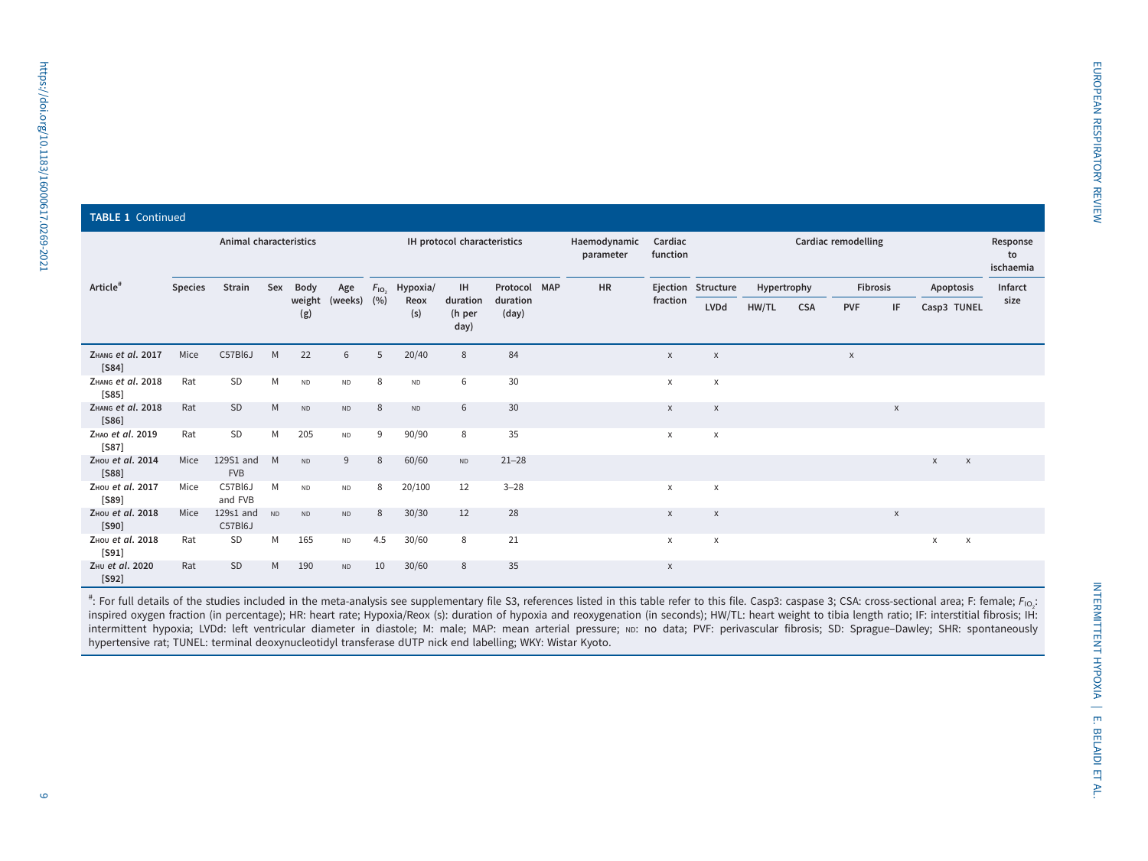|                              | <b>TABLE 1 Continued</b> |                         |     |               |           |          |             |                                         |                   |  |                           |                                 |                     |             |            |            |                           |             |                           |                             |
|------------------------------|--------------------------|-------------------------|-----|---------------|-----------|----------|-------------|-----------------------------------------|-------------------|--|---------------------------|---------------------------------|---------------------|-------------|------------|------------|---------------------------|-------------|---------------------------|-----------------------------|
|                              |                          | Animal characteristics  |     |               |           |          |             | IH protocol characteristics             |                   |  | Haemodynamic<br>parameter | Cardiac<br>function<br>fraction | Cardiac remodelling |             |            |            |                           |             |                           | Response<br>to<br>ischaemia |
| Article <sup>#</sup>         | <b>Species</b>           | Strain                  | Sex | Body          | Age       | $F_{10}$ | Hypoxia/    | <b>IH</b><br>duration<br>(h per<br>day) | Protocol MAP      |  | <b>HR</b>                 |                                 | Ejection Structure  | Hypertrophy |            | Fibrosis   |                           | Apoptosis   |                           | Infarct                     |
|                              |                          |                         |     | weight<br>(g) | (weeks)   | (9/0)    | Reox<br>(s) |                                         | duration<br>(day) |  |                           |                                 | <b>LVDd</b>         | HW/TL       | <b>CSA</b> | <b>PVF</b> | IF                        | Casp3 TUNEL |                           | size                        |
| ZHANG et al. 2017<br>$[$ 84] | Mice                     | C57Bl6J                 | M   | 22            | 6         | 5        | 20/40       | 8                                       | 84                |  |                           | $\mathsf X$                     | X                   |             |            | X          |                           |             |                           |                             |
| ZHANG et al. 2018<br>$[$ 85] | Rat                      | SD                      | M   | ND            | <b>ND</b> | 8        | <b>ND</b>   | 6                                       | 30                |  |                           | $\times$                        | X                   |             |            |            |                           |             |                           |                             |
| ZHANG et al. 2018<br>$[S86]$ | Rat                      | SD                      | M   | <b>ND</b>     | ND        | 8        | <b>ND</b>   | 6                                       | 30                |  |                           | X                               | X                   |             |            |            | $\boldsymbol{\mathsf{X}}$ |             |                           |                             |
| ZHAO et al. 2019<br>$[$ 87]  | Rat                      | SD                      | M   | 205           | ND        | 9        | 90/90       | 8                                       | 35                |  |                           | X                               | X                   |             |            |            |                           |             |                           |                             |
| Zнои et al. 2014<br>$[$ 88]  | Mice                     | 129S1 and<br><b>FVB</b> | M   | <b>ND</b>     | 9         | 8        | 60/60       | ND                                      | $21 - 28$         |  |                           |                                 |                     |             |            |            |                           | $\chi$      | $\boldsymbol{\mathsf{X}}$ |                             |
| Zнои et al. 2017<br>$[$ 89]  | Mice                     | C57Bl6J<br>and FVB      | M   | <b>ND</b>     | ND        | 8        | 20/100      | 12                                      | $3 - 28$          |  |                           | $\mathsf{x}$                    | X                   |             |            |            |                           |             |                           |                             |
| Zнои et al. 2018<br>$[S90]$  | Mice                     | 129s1 and<br>C57Bl6J    | ND  | <b>ND</b>     | ND        | 8        | 30/30       | 12                                      | 28                |  |                           | $\mathsf X$                     | $\mathsf X$         |             |            |            | X                         |             |                           |                             |
| ZHOU et al. 2018<br>$[S91]$  | Rat                      | SD                      | М   | 165           | ND        | 4.5      | 30/60       | 8                                       | 21                |  |                           | X                               | X                   |             |            |            |                           | X           | $\pmb{\times}$            |                             |
| ZHU et al. 2020<br>$[S92]$   | Rat                      | SD                      | M   | 190           | ND        | 10       | 30/60       | 8                                       | 35                |  |                           | $\boldsymbol{\mathsf{X}}$       |                     |             |            |            |                           |             |                           |                             |

#: For full details of the studies included in the meta-analysis see [supplementary](http://err.ersjournals.com/lookup/doi/10.1183/16000617.0269-2021.figures-only#fig-data-supplementary-materials) file S3, references listed in this table refer to this file. Casp3: caspase 3; CSA: cross-sectional area; F: female;  $F_{10}$ , inspired oxygen fraction (in percentage); HR: heart rate; Hypoxia/Reox (s): duration of hypoxia and reoxygenation (in seconds); HW/TL: heart weight to tibia length ratio; IF: interstitial fibrosis; IH: intermittent hypoxia; LVDd: left ventricular diameter in diastole; M: male; MAP: mean arterial pressure; ND: no data; PVF: perivascular fibrosis; SD: Sprague–Dawley; SHR: spontaneously hypertensive rat; TUNEL: terminal deoxynucleotidyl transferase dUTP nick end labelling; WKY: Wistar Kyoto.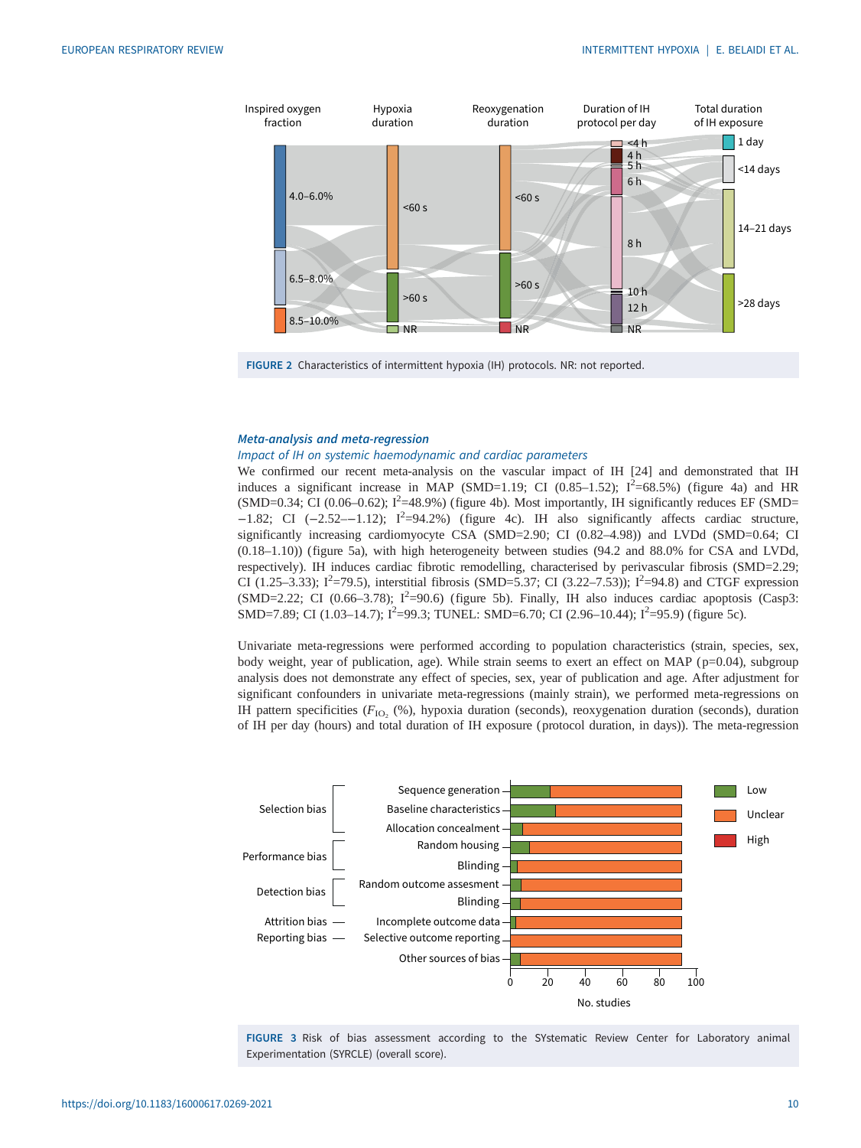<span id="page-9-0"></span>

FIGURE 2 Characteristics of intermittent hypoxia (IH) protocols. NR: not reported.

## Meta-analysis and meta-regression

## Impact of IH on systemic haemodynamic and cardiac parameters

We confirmed our recent meta-analysis on the vascular impact of IH [\[24](#page-16-0)] and demonstrated that IH induces a significant increase in MAP (SMD=1.19; CI (0.85–1.52);  $I^2$ =68.5%) ([figure 4a](#page-10-0)) and HR (SMD=0.34; CI (0.06-0.62);  $I^2$ =48.9%) ([figure 4b\)](#page-10-0). Most importantly, IH significantly reduces EF (SMD=  $-1.82$ ; CI ( $-2.52$ - $-1.12$ ); I<sup>2</sup>=94.2%) [\(figure 4c\)](#page-10-0). IH also significantly affects cardiac structure, significantly increasing cardiomyocyte CSA (SMD=2.90; CI (0.82–4.98)) and LVDd (SMD=0.64; CI (0.18–1.10)) ([figure 5a\)](#page-11-0), with high heterogeneity between studies (94.2 and 88.0% for CSA and LVDd, respectively). IH induces cardiac fibrotic remodelling, characterised by perivascular fibrosis (SMD=2.29; CI (1.25–3.33);  $I^2$ =79.5), interstitial fibrosis (SMD=5.37; CI (3.22–7.53));  $I^2$ =94.8) and CTGF expression  $(SMD=2.22; CI (0.66-3.78); I<sup>2</sup>=90.6)$  ([figure 5b\)](#page-11-0). Finally, IH also induces cardiac apoptosis (Casp3: SMD=7.89; CI (1.03-14.7); I<sup>2</sup>=99.3; TUNEL: SMD=6.70; CI (2.96-10.44); I<sup>2</sup>=95.9) ([figure 5c\)](#page-11-0).

Univariate meta-regressions were performed according to population characteristics (strain, species, sex, body weight, year of publication, age). While strain seems to exert an effect on MAP (p=0.04), subgroup analysis does not demonstrate any effect of species, sex, year of publication and age. After adjustment for significant confounders in univariate meta-regressions (mainly strain), we performed meta-regressions on IH pattern specificities ( $F_{IO_2}$  (%), hypoxia duration (seconds), reoxygenation duration (seconds), duration of IH per day (hours) and total duration of IH exposure ( protocol duration, in days)). The meta-regression



FIGURE 3 Risk of bias assessment according to the SYstematic Review Center for Laboratory animal Experimentation (SYRCLE) (overall score).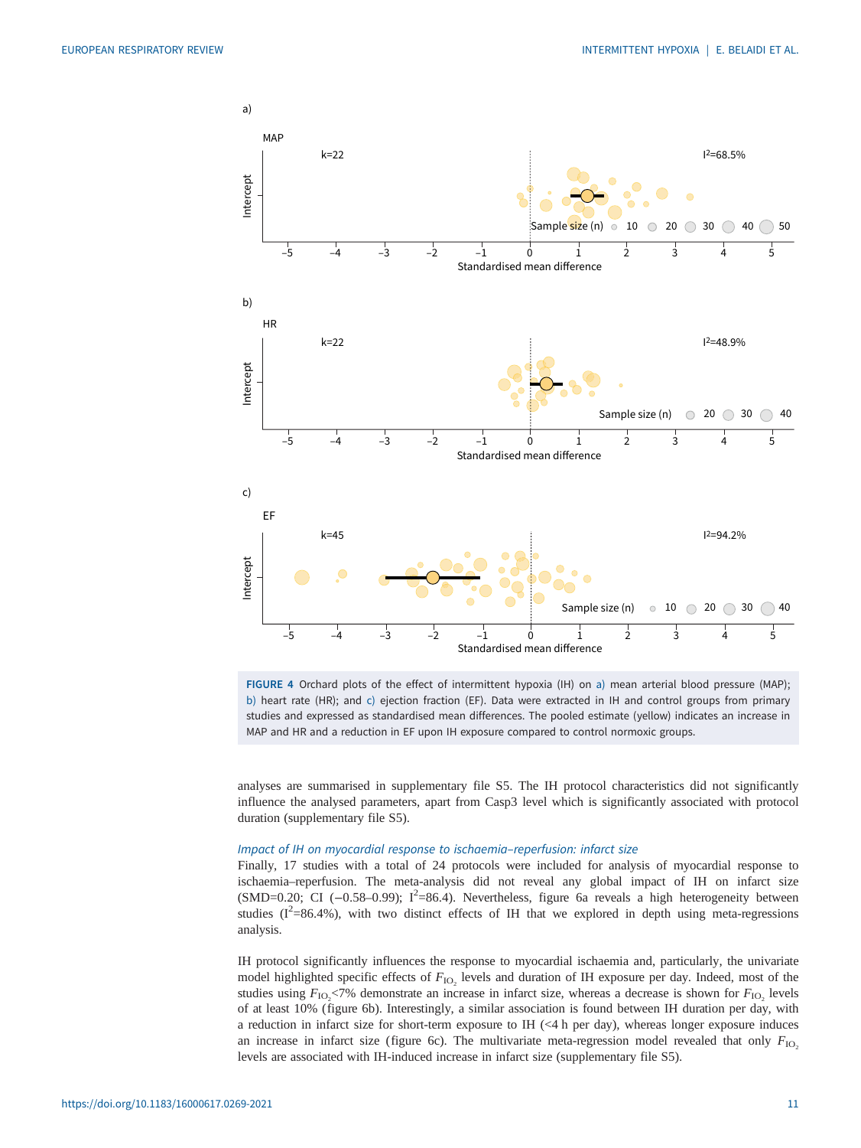<span id="page-10-0"></span>

FIGURE 4 Orchard plots of the effect of intermittent hypoxia (IH) on a) mean arterial blood pressure (MAP); b) heart rate (HR); and c) ejection fraction (EF). Data were extracted in IH and control groups from primary studies and expressed as standardised mean differences. The pooled estimate (yellow) indicates an increase in MAP and HR and a reduction in EF upon IH exposure compared to control normoxic groups.

analyses are summarised in [supplementary file S5.](http://err.ersjournals.com/lookup/doi/10.1183/16000617.0269-2021.figures-only#fig-data-supplementary-materials) The IH protocol characteristics did not significantly influence the analysed parameters, apart from Casp3 level which is significantly associated with protocol duration [\(supplementary file S5](http://err.ersjournals.com/lookup/doi/10.1183/16000617.0269-2021.figures-only#fig-data-supplementary-materials)).

## Impact of IH on myocardial response to ischaemia–reperfusion: infarct size

Finally, 17 studies with a total of 24 protocols were included for analysis of myocardial response to ischaemia–reperfusion. The meta-analysis did not reveal any global impact of IH on infarct size (SMD=0.20; CI (-0.58-0.99); I<sup>2</sup>=86.4). Nevertheless, [figure 6a](#page-12-0) reveals a high heterogeneity between studies ( $I^2$ =86.4%), with two distinct effects of IH that we explored in depth using meta-regressions analysis.

IH protocol significantly influences the response to myocardial ischaemia and, particularly, the univariate model highlighted specific effects of  $F_{1O_2}$  levels and duration of IH exposure per day. Indeed, most of the studies using  $F_{\rm IO_2}<$ 7% demonstrate an increase in infarct size, whereas a decrease is shown for  $F_{\rm IO_2}$  levels of at least 10% ([figure 6b](#page-12-0)). Interestingly, a similar association is found between IH duration per day, with a reduction in infarct size for short-term exposure to IH (<4 h per day), whereas longer exposure induces an increase in infarct size ([figure 6c](#page-12-0)). The multivariate meta-regression model revealed that only  $F_{IO_2}$  levels are associated with IH-induced increase in infarct size (supplementary file S5).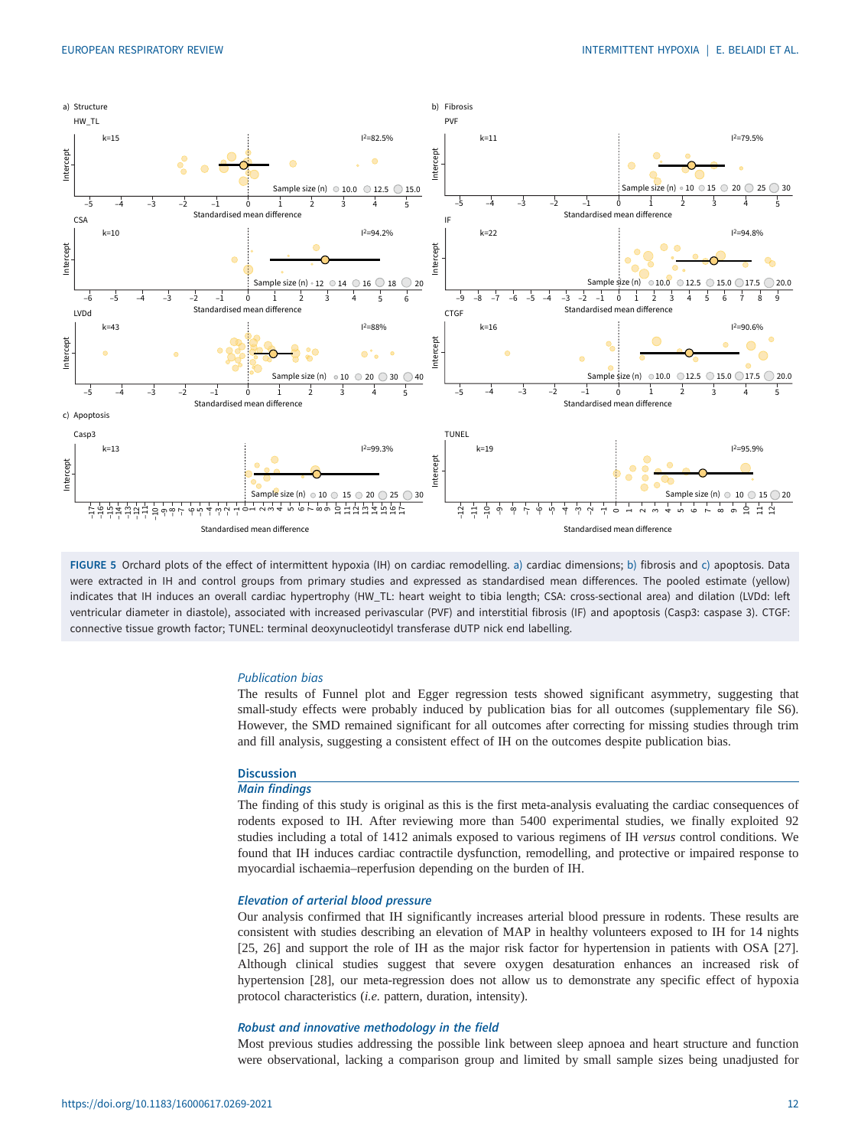<span id="page-11-0"></span>

FIGURE 5 Orchard plots of the effect of intermittent hypoxia (IH) on cardiac remodelling. a) cardiac dimensions; b) fibrosis and c) apoptosis. Data were extracted in IH and control groups from primary studies and expressed as standardised mean differences. The pooled estimate (yellow) indicates that IH induces an overall cardiac hypertrophy (HW\_TL: heart weight to tibia length; CSA: cross-sectional area) and dilation (LVDd: left ventricular diameter in diastole), associated with increased perivascular (PVF) and interstitial fibrosis (IF) and apoptosis (Casp3: caspase 3). CTGF: connective tissue growth factor; TUNEL: terminal deoxynucleotidyl transferase dUTP nick end labelling.

## Publication bias

The results of Funnel plot and Egger regression tests showed significant asymmetry, suggesting that small-study effects were probably induced by publication bias for all outcomes [\(supplementary file S6\)](http://err.ersjournals.com/lookup/doi/10.1183/16000617.0269-2021.figures-only#fig-data-supplementary-materials). However, the SMD remained significant for all outcomes after correcting for missing studies through trim and fill analysis, suggesting a consistent effect of IH on the outcomes despite publication bias.

## **Discussion**

## Main findings

The finding of this study is original as this is the first meta-analysis evaluating the cardiac consequences of rodents exposed to IH. After reviewing more than 5400 experimental studies, we finally exploited 92 studies including a total of 1412 animals exposed to various regimens of IH versus control conditions. We found that IH induces cardiac contractile dysfunction, remodelling, and protective or impaired response to myocardial ischaemia–reperfusion depending on the burden of IH.

## Elevation of arterial blood pressure

Our analysis confirmed that IH significantly increases arterial blood pressure in rodents. These results are consistent with studies describing an elevation of MAP in healthy volunteers exposed to IH for 14 nights [\[25](#page-16-0), [26](#page-16-0)] and support the role of IH as the major risk factor for hypertension in patients with OSA [[27\]](#page-16-0). Although clinical studies suggest that severe oxygen desaturation enhances an increased risk of hypertension [\[28](#page-16-0)], our meta-regression does not allow us to demonstrate any specific effect of hypoxia protocol characteristics (i.e. pattern, duration, intensity).

#### Robust and innovative methodology in the field

Most previous studies addressing the possible link between sleep apnoea and heart structure and function were observational, lacking a comparison group and limited by small sample sizes being unadjusted for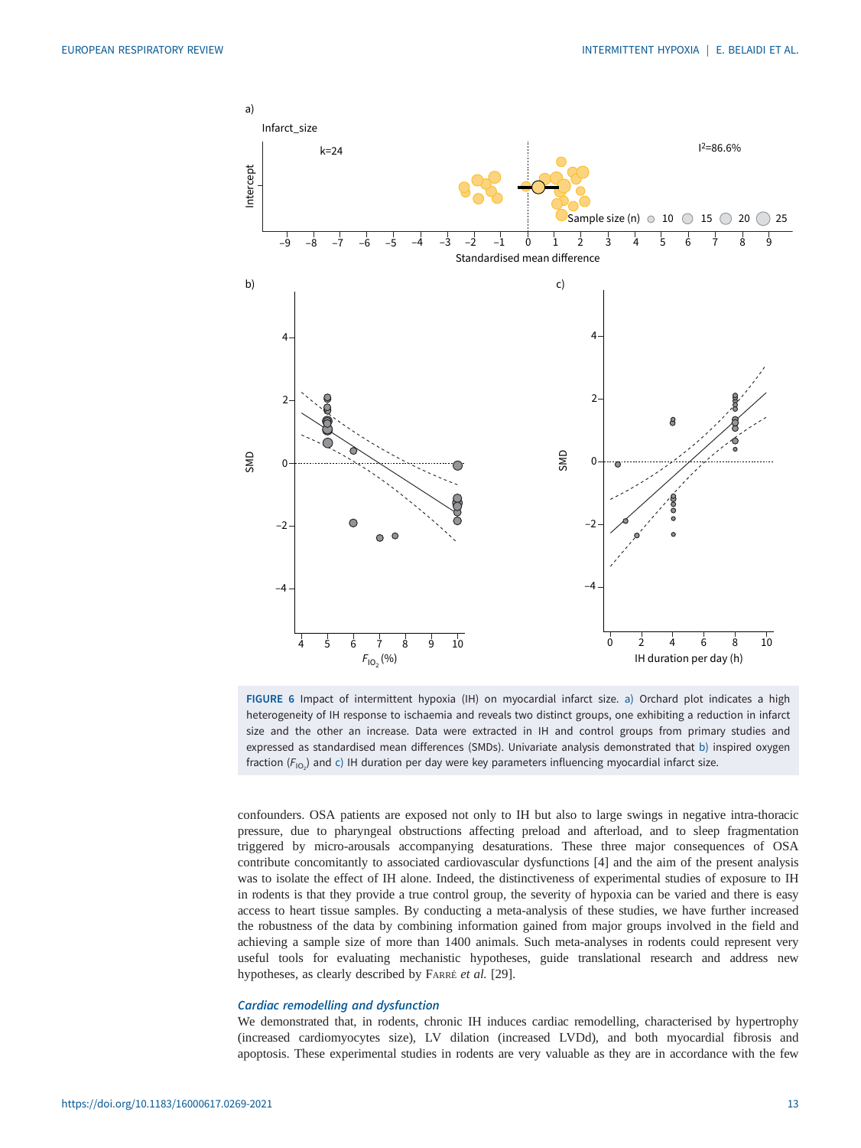<span id="page-12-0"></span>

FIGURE 6 Impact of intermittent hypoxia (IH) on myocardial infarct size. a) Orchard plot indicates a high heterogeneity of IH response to ischaemia and reveals two distinct groups, one exhibiting a reduction in infarct size and the other an increase. Data were extracted in IH and control groups from primary studies and expressed as standardised mean differences (SMDs). Univariate analysis demonstrated that b) inspired oxygen fraction ( $F_{\mathsf{IO}_2}$ ) and c) IH duration per day were key parameters influencing myocardial infarct size.

confounders. OSA patients are exposed not only to IH but also to large swings in negative intra-thoracic pressure, due to pharyngeal obstructions affecting preload and afterload, and to sleep fragmentation triggered by micro-arousals accompanying desaturations. These three major consequences of OSA contribute concomitantly to associated cardiovascular dysfunctions [[4](#page-15-0)] and the aim of the present analysis was to isolate the effect of IH alone. Indeed, the distinctiveness of experimental studies of exposure to IH in rodents is that they provide a true control group, the severity of hypoxia can be varied and there is easy access to heart tissue samples. By conducting a meta-analysis of these studies, we have further increased the robustness of the data by combining information gained from major groups involved in the field and achieving a sample size of more than 1400 animals. Such meta-analyses in rodents could represent very useful tools for evaluating mechanistic hypotheses, guide translational research and address new hypotheses, as clearly described by FARRÉ et al. [[29\]](#page-16-0).

## Cardiac remodelling and dysfunction

We demonstrated that, in rodents, chronic IH induces cardiac remodelling, characterised by hypertrophy (increased cardiomyocytes size), LV dilation (increased LVDd), and both myocardial fibrosis and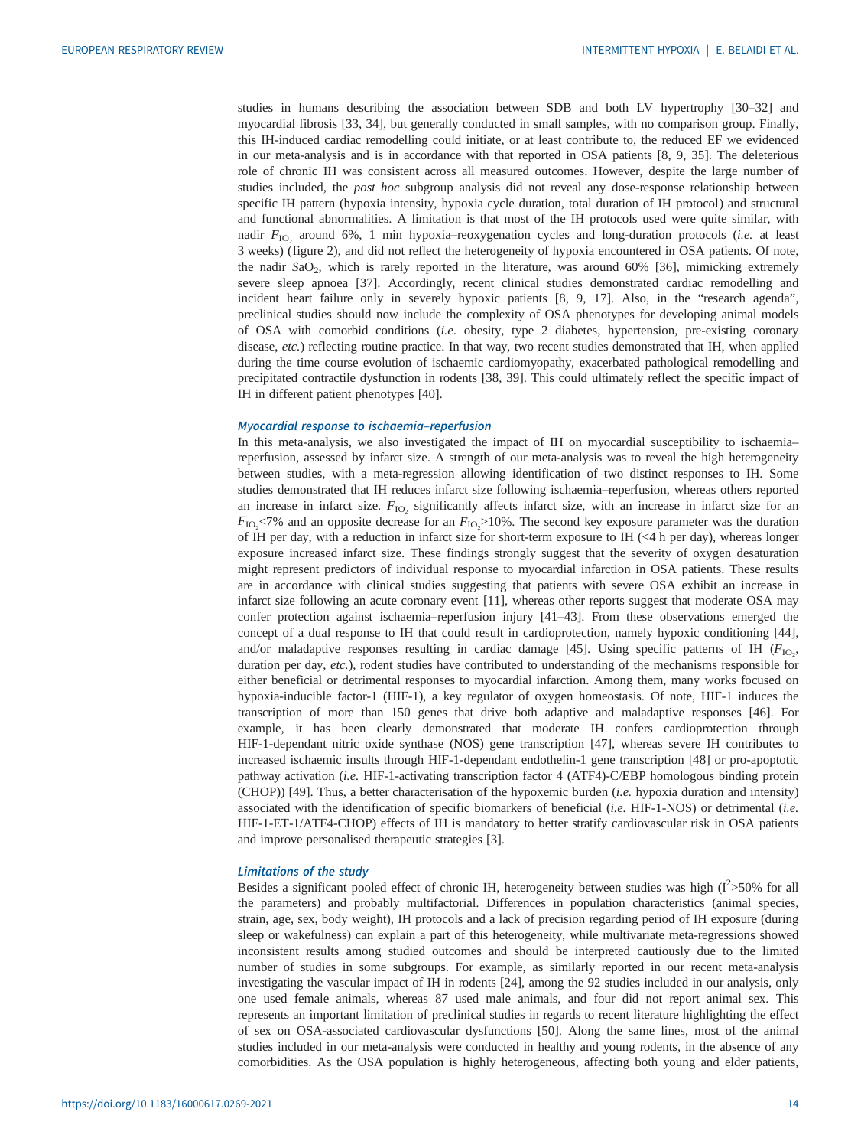studies in humans describing the association between SDB and both LV hypertrophy [\[30](#page-16-0)–[32\]](#page-16-0) and myocardial fibrosis [\[33](#page-16-0), [34](#page-16-0)], but generally conducted in small samples, with no comparison group. Finally, this IH-induced cardiac remodelling could initiate, or at least contribute to, the reduced EF we evidenced in our meta-analysis and is in accordance with that reported in OSA patients [[8](#page-15-0), [9,](#page-15-0) [35\]](#page-16-0). The deleterious role of chronic IH was consistent across all measured outcomes. However, despite the large number of studies included, the post hoc subgroup analysis did not reveal any dose-response relationship between specific IH pattern (hypoxia intensity, hypoxia cycle duration, total duration of IH protocol) and structural and functional abnormalities. A limitation is that most of the IH protocols used were quite similar, with nadir  $F_{1O_2}$  around 6%, 1 min hypoxia–reoxygenation cycles and long-duration protocols (i.e. at least 3 weeks) ([figure 2\)](#page-9-0), and did not reflect the heterogeneity of hypoxia encountered in OSA patients. Of note, the nadir  $SaO<sub>2</sub>$ , which is rarely reported in the literature, was around 60% [\[36](#page-16-0)], mimicking extremely severe sleep apnoea [\[37](#page-16-0)]. Accordingly, recent clinical studies demonstrated cardiac remodelling and incident heart failure only in severely hypoxic patients [[8](#page-15-0), [9](#page-15-0), [17\]](#page-16-0). Also, in the "research agenda", preclinical studies should now include the complexity of OSA phenotypes for developing animal models of OSA with comorbid conditions (i.e. obesity, type 2 diabetes, hypertension, pre-existing coronary disease, *etc.*) reflecting routine practice. In that way, two recent studies demonstrated that IH, when applied during the time course evolution of ischaemic cardiomyopathy, exacerbated pathological remodelling and precipitated contractile dysfunction in rodents [\[38](#page-16-0), [39](#page-16-0)]. This could ultimately reflect the specific impact of IH in different patient phenotypes [\[40](#page-16-0)].

#### Myocardial response to ischaemia–reperfusion

In this meta-analysis, we also investigated the impact of IH on myocardial susceptibility to ischaemia– reperfusion, assessed by infarct size. A strength of our meta-analysis was to reveal the high heterogeneity between studies, with a meta-regression allowing identification of two distinct responses to IH. Some studies demonstrated that IH reduces infarct size following ischaemia–reperfusion, whereas others reported an increase in infarct size.  $F_{\text{IO}}$ , significantly affects infarct size, with an increase in infarct size for an  $F_{\rm IO_2}$ <7% and an opposite decrease for an  $F_{\rm IO_2}$ >10%. The second key exposure parameter was the duration of IH per day, with a reduction in infarct size for short-term exposure to IH (<4 h per day), whereas longer exposure increased infarct size. These findings strongly suggest that the severity of oxygen desaturation might represent predictors of individual response to myocardial infarction in OSA patients. These results are in accordance with clinical studies suggesting that patients with severe OSA exhibit an increase in infarct size following an acute coronary event [\[11](#page-15-0)], whereas other reports suggest that moderate OSA may confer protection against ischaemia–reperfusion injury [[41](#page-16-0)–[43](#page-16-0)]. From these observations emerged the concept of a dual response to IH that could result in cardioprotection, namely hypoxic conditioning [[44\]](#page-16-0), and/or maladaptive responses resulting in cardiac damage [[45\]](#page-16-0). Using specific patterns of IH ( $F_{\text{IO}_{2'}}$ ) duration per day, etc.), rodent studies have contributed to understanding of the mechanisms responsible for either beneficial or detrimental responses to myocardial infarction. Among them, many works focused on hypoxia-inducible factor-1 (HIF-1), a key regulator of oxygen homeostasis. Of note, HIF-1 induces the transcription of more than 150 genes that drive both adaptive and maladaptive responses [\[46](#page-17-0)]. For example, it has been clearly demonstrated that moderate IH confers cardioprotection through HIF-1-dependant nitric oxide synthase (NOS) gene transcription [\[47](#page-17-0)], whereas severe IH contributes to increased ischaemic insults through HIF-1-dependant endothelin-1 gene transcription [[48\]](#page-17-0) or pro-apoptotic pathway activation (i.e. HIF-1-activating transcription factor 4 (ATF4)-C/EBP homologous binding protein (CHOP)) [[49\]](#page-17-0). Thus, a better characterisation of the hypoxemic burden (i.e. hypoxia duration and intensity) associated with the identification of specific biomarkers of beneficial (i.e. HIF-1-NOS) or detrimental (i.e. HIF-1-ET-1/ATF4-CHOP) effects of IH is mandatory to better stratify cardiovascular risk in OSA patients and improve personalised therapeutic strategies [[3](#page-15-0)].

## Limitations of the study

Besides a significant pooled effect of chronic IH, heterogeneity between studies was high  $(I<sup>2</sup>>50%$  for all the parameters) and probably multifactorial. Differences in population characteristics (animal species, strain, age, sex, body weight), IH protocols and a lack of precision regarding period of IH exposure (during sleep or wakefulness) can explain a part of this heterogeneity, while multivariate meta-regressions showed inconsistent results among studied outcomes and should be interpreted cautiously due to the limited number of studies in some subgroups. For example, as similarly reported in our recent meta-analysis investigating the vascular impact of IH in rodents [\[24](#page-16-0)], among the 92 studies included in our analysis, only one used female animals, whereas 87 used male animals, and four did not report animal sex. This represents an important limitation of preclinical studies in regards to recent literature highlighting the effect of sex on OSA-associated cardiovascular dysfunctions [[50\]](#page-17-0). Along the same lines, most of the animal studies included in our meta-analysis were conducted in healthy and young rodents, in the absence of any comorbidities. As the OSA population is highly heterogeneous, affecting both young and elder patients,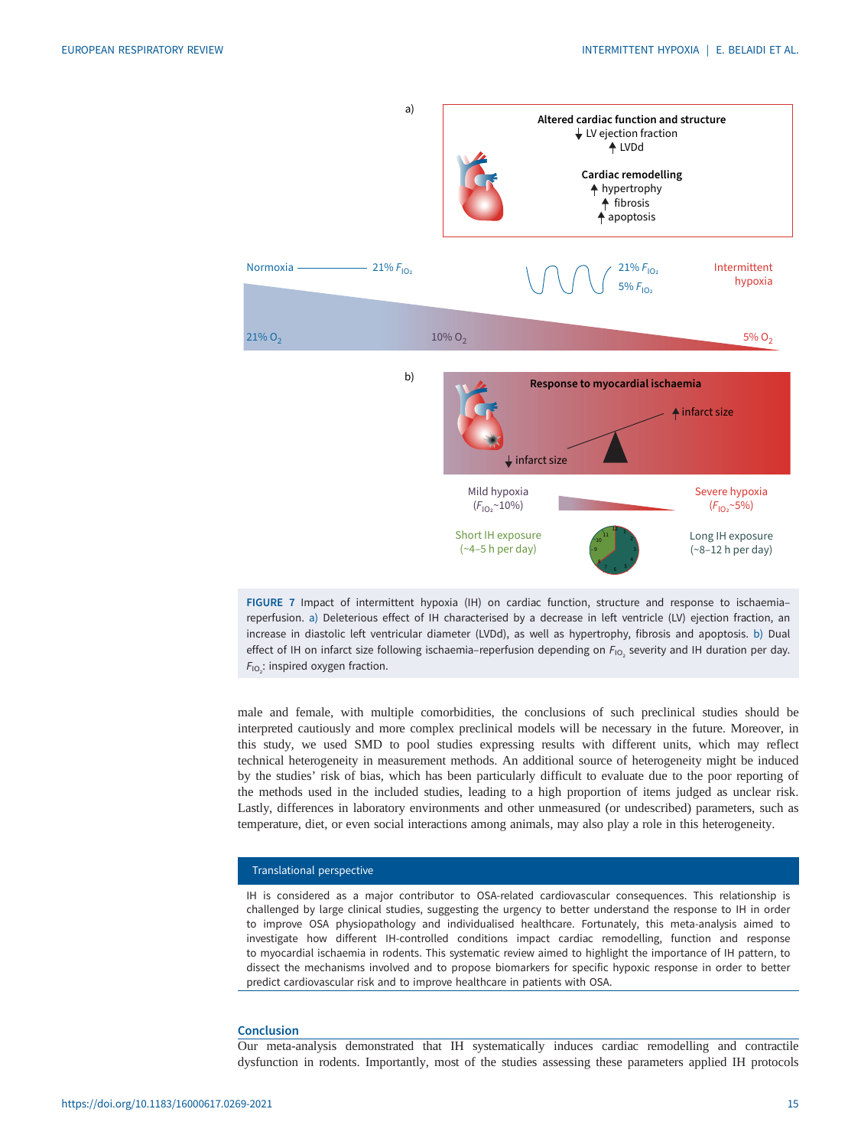<span id="page-14-0"></span>

FIGURE 7 Impact of intermittent hypoxia (IH) on cardiac function, structure and response to ischaemia– reperfusion. a) Deleterious effect of IH characterised by a decrease in left ventricle (LV) ejection fraction, an increase in diastolic left ventricular diameter (LVDd), as well as hypertrophy, fibrosis and apoptosis. b) Dual effect of IH on infarct size following ischaemia-reperfusion depending on  $F_{10}$ , severity and IH duration per day.  $F_{\text{IO}_2}$ : inspired oxygen fraction.

male and female, with multiple comorbidities, the conclusions of such preclinical studies should be interpreted cautiously and more complex preclinical models will be necessary in the future. Moreover, in this study, we used SMD to pool studies expressing results with different units, which may reflect technical heterogeneity in measurement methods. An additional source of heterogeneity might be induced by the studies' risk of bias, which has been particularly difficult to evaluate due to the poor reporting of the methods used in the included studies, leading to a high proportion of items judged as unclear risk. Lastly, differences in laboratory environments and other unmeasured (or undescribed) parameters, such as temperature, diet, or even social interactions among animals, may also play a role in this heterogeneity.

## Translational perspective

IH is considered as a major contributor to OSA-related cardiovascular consequences. This relationship is challenged by large clinical studies, suggesting the urgency to better understand the response to IH in order to improve OSA physiopathology and individualised healthcare. Fortunately, this meta-analysis aimed to investigate how different IH-controlled conditions impact cardiac remodelling, function and response to myocardial ischaemia in rodents. This systematic review aimed to highlight the importance of IH pattern, to dissect the mechanisms involved and to propose biomarkers for specific hypoxic response in order to better predict cardiovascular risk and to improve healthcare in patients with OSA.

## Conclusion

Our meta-analysis demonstrated that IH systematically induces cardiac remodelling and contractile dysfunction in rodents. Importantly, most of the studies assessing these parameters applied IH protocols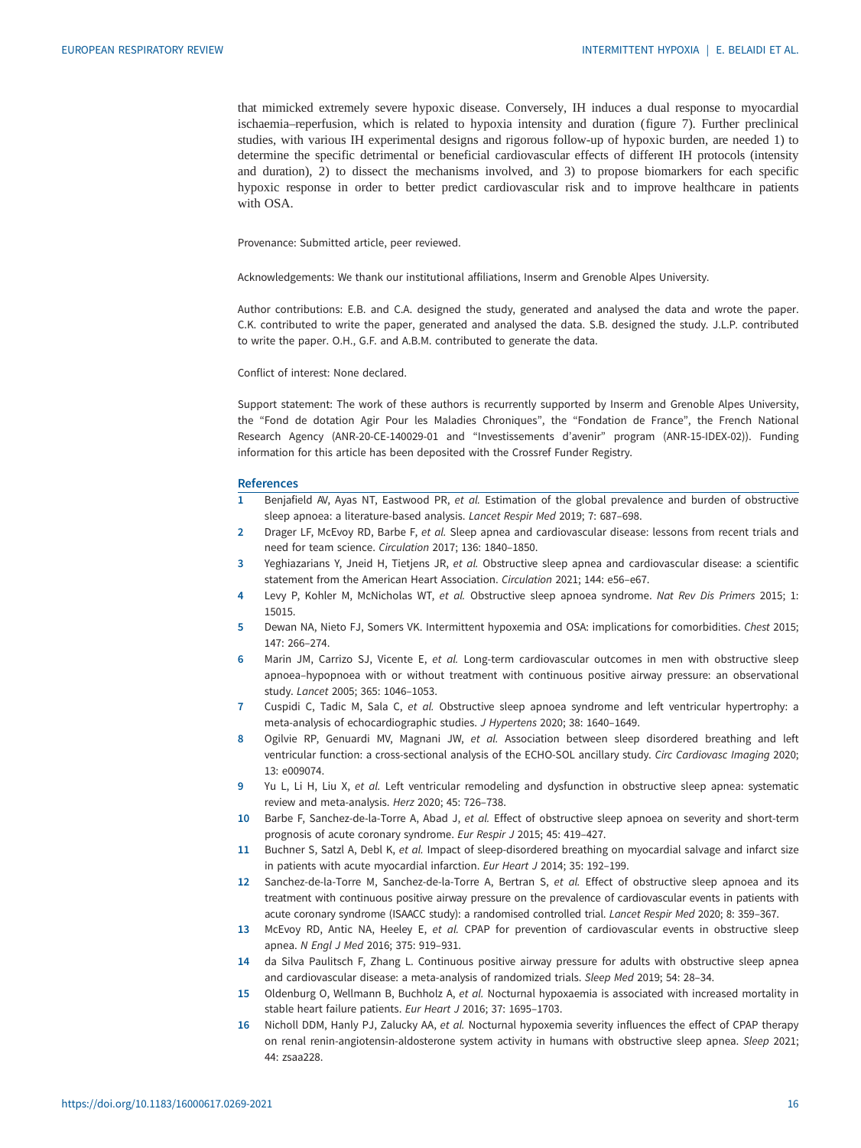<span id="page-15-0"></span>that mimicked extremely severe hypoxic disease. Conversely, IH induces a dual response to myocardial ischaemia–reperfusion, which is related to hypoxia intensity and duration [\(figure 7](#page-14-0)). Further preclinical studies, with various IH experimental designs and rigorous follow-up of hypoxic burden, are needed 1) to determine the specific detrimental or beneficial cardiovascular effects of different IH protocols (intensity and duration), 2) to dissect the mechanisms involved, and 3) to propose biomarkers for each specific hypoxic response in order to better predict cardiovascular risk and to improve healthcare in patients with OSA

Provenance: Submitted article, peer reviewed.

Acknowledgements: We thank our institutional affiliations, Inserm and Grenoble Alpes University.

Author contributions: E.B. and C.A. designed the study, generated and analysed the data and wrote the paper. C.K. contributed to write the paper, generated and analysed the data. S.B. designed the study. J.L.P. contributed to write the paper. O.H., G.F. and A.B.M. contributed to generate the data.

Conflict of interest: None declared.

Support statement: The work of these authors is recurrently supported by Inserm and Grenoble Alpes University, the "Fond de dotation Agir Pour les Maladies Chroniques", the "Fondation de France", the French National Research Agency (ANR-20-CE-140029-01 and "Investissements d'avenir" program (ANR-15-IDEX-02)). Funding information for this article has been deposited with the [Crossref Funder Registry.](https://www.crossref.org/services/funder-registry/)

#### References

- 1 Benjafield AV, Ayas NT, Eastwood PR, et al. Estimation of the global prevalence and burden of obstructive sleep apnoea: a literature-based analysis. Lancet Respir Med 2019; 7: 687–698.
- 2 Drager LF, McEvoy RD, Barbe F, et al. Sleep apnea and cardiovascular disease: lessons from recent trials and need for team science. Circulation 2017; 136: 1840–1850.
- 3 Yeghiazarians Y, Jneid H, Tietjens JR, et al. Obstructive sleep apnea and cardiovascular disease: a scientific statement from the American Heart Association. Circulation 2021; 144: e56–e67.
- 4 Levy P, Kohler M, McNicholas WT, et al. Obstructive sleep apnoea syndrome. Nat Rev Dis Primers 2015; 1: 15015.
- 5 Dewan NA, Nieto FJ, Somers VK. Intermittent hypoxemia and OSA: implications for comorbidities. Chest 2015; 147: 266–274.
- 6 Marin JM, Carrizo SJ, Vicente E, et al. Long-term cardiovascular outcomes in men with obstructive sleep apnoea–hypopnoea with or without treatment with continuous positive airway pressure: an observational study. Lancet 2005; 365: 1046–1053.
- 7 Cuspidi C, Tadic M, Sala C, et al. Obstructive sleep apnoea syndrome and left ventricular hypertrophy: a meta-analysis of echocardiographic studies. J Hypertens 2020; 38: 1640–1649.
- 8 Ogilvie RP, Genuardi MV, Magnani JW, et al. Association between sleep disordered breathing and left ventricular function: a cross-sectional analysis of the ECHO-SOL ancillary study. Circ Cardiovasc Imaging 2020; 13: e009074.
- 9 Yu L, Li H, Liu X, et al. Left ventricular remodeling and dysfunction in obstructive sleep apnea: systematic review and meta-analysis. Herz 2020; 45: 726–738.
- 10 Barbe F, Sanchez-de-la-Torre A, Abad J, et al. Effect of obstructive sleep apnoea on severity and short-term prognosis of acute coronary syndrome. Eur Respir J 2015; 45: 419–427.
- 11 Buchner S, Satzl A, Debl K, et al. Impact of sleep-disordered breathing on myocardial salvage and infarct size in patients with acute myocardial infarction. Eur Heart J 2014; 35: 192–199.
- 12 Sanchez-de-la-Torre M, Sanchez-de-la-Torre A, Bertran S, et al. Effect of obstructive sleep apnoea and its treatment with continuous positive airway pressure on the prevalence of cardiovascular events in patients with acute coronary syndrome (ISAACC study): a randomised controlled trial. Lancet Respir Med 2020; 8: 359-367.
- 13 McEvoy RD, Antic NA, Heeley E, et al. CPAP for prevention of cardiovascular events in obstructive sleep apnea. N Engl J Med 2016; 375: 919–931.
- 14 da Silva Paulitsch F, Zhang L. Continuous positive airway pressure for adults with obstructive sleep apnea and cardiovascular disease: a meta-analysis of randomized trials. Sleep Med 2019; 54: 28–34.
- 15 Oldenburg O, Wellmann B, Buchholz A, et al. Nocturnal hypoxaemia is associated with increased mortality in stable heart failure patients. Eur Heart J 2016; 37: 1695–1703.
- 16 Nicholl DDM, Hanly PJ, Zalucky AA, et al. Nocturnal hypoxemia severity influences the effect of CPAP therapy on renal renin-angiotensin-aldosterone system activity in humans with obstructive sleep apnea. Sleep 2021; 44: zsaa228.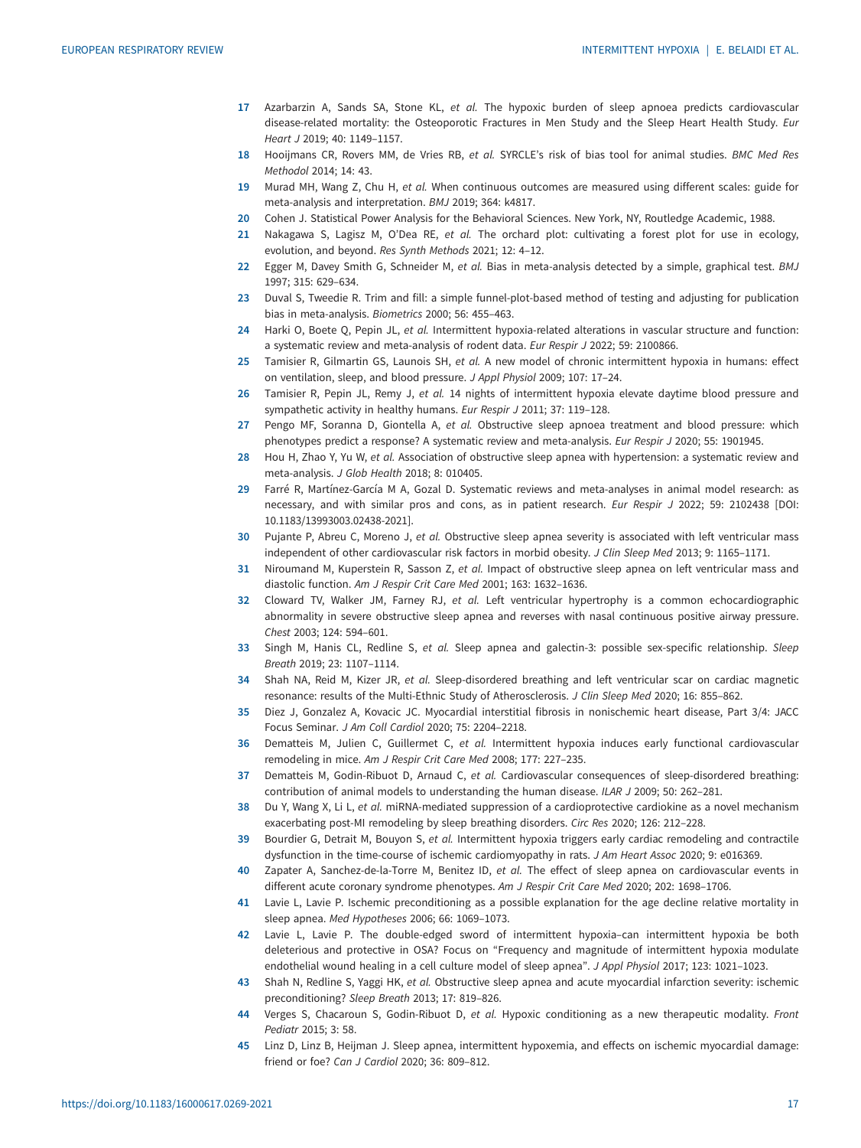- <span id="page-16-0"></span>17 Azarbarzin A, Sands SA, Stone KL, et al. The hypoxic burden of sleep apnoea predicts cardiovascular disease-related mortality: the Osteoporotic Fractures in Men Study and the Sleep Heart Health Study. Eur Heart J 2019; 40: 1149–1157.
- 18 Hooijmans CR, Rovers MM, de Vries RB, et al. SYRCLE's risk of bias tool for animal studies. BMC Med Res Methodol 2014; 14: 43.
- 19 Murad MH, Wang Z, Chu H, et al. When continuous outcomes are measured using different scales: guide for meta-analysis and interpretation. BMJ 2019; 364: k4817.
- 20 Cohen J. Statistical Power Analysis for the Behavioral Sciences. New York, NY, Routledge Academic, 1988.
- 21 Nakagawa S, Lagisz M, O'Dea RE, et al. The orchard plot: cultivating a forest plot for use in ecology, evolution, and beyond. Res Synth Methods 2021; 12: 4–12.
- 22 Egger M, Davey Smith G, Schneider M, et al. Bias in meta-analysis detected by a simple, graphical test. BMJ 1997; 315: 629–634.
- 23 Duval S, Tweedie R. Trim and fill: a simple funnel-plot-based method of testing and adjusting for publication bias in meta-analysis. Biometrics 2000; 56: 455–463.
- 24 Harki O, Boete O, Pepin JL, et al. Intermittent hypoxia-related alterations in vascular structure and function: a systematic review and meta-analysis of rodent data. Eur Respir J 2022; 59: 2100866.
- 25 Tamisier R, Gilmartin GS, Launois SH, et al. A new model of chronic intermittent hypoxia in humans: effect on ventilation, sleep, and blood pressure. J Appl Physiol 2009; 107: 17–24.
- 26 Tamisier R, Pepin JL, Remy J, et al. 14 nights of intermittent hypoxia elevate daytime blood pressure and sympathetic activity in healthy humans. Eur Respir J 2011; 37: 119–128.
- 27 Pengo MF, Soranna D, Giontella A, et al. Obstructive sleep apnoea treatment and blood pressure: which phenotypes predict a response? A systematic review and meta-analysis. Eur Respir J 2020; 55: 1901945.
- 28 Hou H, Zhao Y, Yu W, et al. Association of obstructive sleep apnea with hypertension: a systematic review and meta-analysis. J Glob Health 2018; 8: 010405.
- 29 Farré R, Martínez-García M A, Gozal D. Systematic reviews and meta-analyses in animal model research: as necessary, and with similar pros and cons, as in patient research. Eur Respir J 2022; 59: 2102438 [DOI: [10.1183/13993003.02438-2021\]](http://doi.org/10.1183/13993003.02438-2021).
- 30 Pujante P, Abreu C, Moreno J, et al. Obstructive sleep apnea severity is associated with left ventricular mass independent of other cardiovascular risk factors in morbid obesity. J Clin Sleep Med 2013; 9: 1165-1171.
- 31 Niroumand M, Kuperstein R, Sasson Z, et al. Impact of obstructive sleep apnea on left ventricular mass and diastolic function. Am J Respir Crit Care Med 2001; 163: 1632–1636.
- 32 Cloward TV, Walker JM, Farney RJ, et al. Left ventricular hypertrophy is a common echocardiographic abnormality in severe obstructive sleep apnea and reverses with nasal continuous positive airway pressure. Chest 2003; 124: 594–601.
- 33 Singh M, Hanis CL, Redline S, et al. Sleep apnea and galectin-3: possible sex-specific relationship. Sleep Breath 2019; 23: 1107–1114.
- 34 Shah NA, Reid M, Kizer JR, et al. Sleep-disordered breathing and left ventricular scar on cardiac magnetic resonance: results of the Multi-Ethnic Study of Atherosclerosis. J Clin Sleep Med 2020; 16: 855–862.
- 35 Diez J, Gonzalez A, Kovacic JC. Myocardial interstitial fibrosis in nonischemic heart disease, Part 3/4: JACC Focus Seminar. J Am Coll Cardiol 2020; 75: 2204–2218.
- 36 Dematteis M, Julien C, Guillermet C, et al. Intermittent hypoxia induces early functional cardiovascular remodeling in mice. Am J Respir Crit Care Med 2008; 177: 227–235.
- 37 Dematteis M, Godin-Ribuot D, Arnaud C, et al. Cardiovascular consequences of sleep-disordered breathing: contribution of animal models to understanding the human disease. ILAR J 2009; 50: 262–281.
- 38 Du Y, Wang X, Li L, et al. miRNA-mediated suppression of a cardioprotective cardiokine as a novel mechanism exacerbating post-MI remodeling by sleep breathing disorders. Circ Res 2020; 126: 212–228.
- 39 Bourdier G, Detrait M, Bouyon S, et al. Intermittent hypoxia triggers early cardiac remodeling and contractile dysfunction in the time-course of ischemic cardiomyopathy in rats. J Am Heart Assoc 2020; 9: e016369.
- 40 Zapater A, Sanchez-de-la-Torre M, Benitez ID, et al. The effect of sleep apnea on cardiovascular events in different acute coronary syndrome phenotypes. Am J Respir Crit Care Med 2020; 202: 1698–1706.
- 41 Lavie L, Lavie P. Ischemic preconditioning as a possible explanation for the age decline relative mortality in sleep apnea. Med Hypotheses 2006; 66: 1069–1073.
- 42 Lavie L, Lavie P. The double-edged sword of intermittent hypoxia–can intermittent hypoxia be both deleterious and protective in OSA? Focus on "Frequency and magnitude of intermittent hypoxia modulate endothelial wound healing in a cell culture model of sleep apnea". J Appl Physiol 2017; 123: 1021–1023.
- 43 Shah N, Redline S, Yaggi HK, et al. Obstructive sleep apnea and acute myocardial infarction severity: ischemic preconditioning? Sleep Breath 2013; 17: 819–826.
- 44 Verges S, Chacaroun S, Godin-Ribuot D, et al. Hypoxic conditioning as a new therapeutic modality. Front Pediatr 2015; 3: 58.
- 45 Linz D, Linz B, Heijman J. Sleep apnea, intermittent hypoxemia, and effects on ischemic myocardial damage: friend or foe? Can J Cardiol 2020; 36: 809–812.